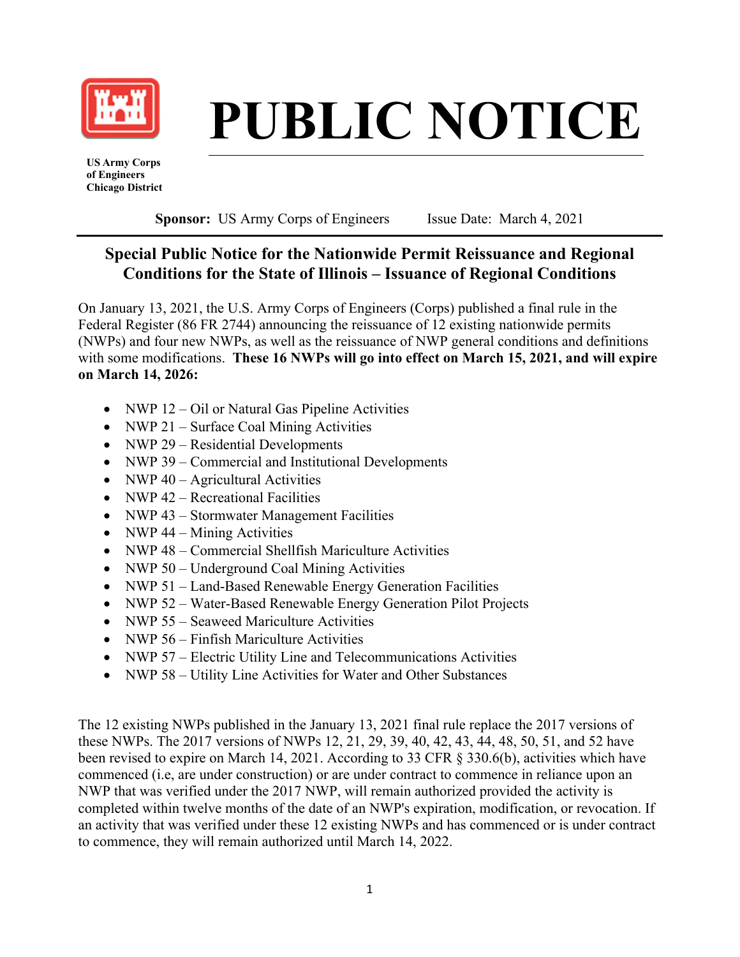

# **\_\_\_\_\_\_\_\_\_\_\_\_\_\_\_\_\_\_ PUBLIC NOTICE**

 **US Army Corps of Engineers Chicago District** 

**Sponsor:** US Army Corps of Engineers Issue Date: March 4, 2021

# **Special Public Notice for the Nationwide Permit Reissuance and Regional Conditions for the State of Illinois – Issuance of Regional Conditions**

On January 13, 2021, the U.S. Army Corps of Engineers (Corps) published a final rule in the Federal Register (86 FR 2744) announcing the reissuance of 12 existing nationwide permits (NWPs) and four new NWPs, as well as the reissuance of NWP general conditions and definitions with some modifications. **These 16 NWPs will go into effect on March 15, 2021, and will expire on March 14, 2026:** 

- NWP 12 Oil or Natural Gas Pipeline Activities
- NWP 21 Surface Coal Mining Activities
- NWP 29 Residential Developments
- NWP 39 Commercial and Institutional Developments
- NWP  $40 -$  Agricultural Activities
- NWP 42 Recreational Facilities
- NWP 43 Stormwater Management Facilities
- NWP  $44 -$  Mining Activities
- NWP 48 Commercial Shellfish Mariculture Activities
- NWP 50 Underground Coal Mining Activities
- NWP 51 Land-Based Renewable Energy Generation Facilities
- NWP 52 Water-Based Renewable Energy Generation Pilot Projects
- NWP 55 Seaweed Mariculture Activities
- NWP 56 Finfish Mariculture Activities
- NWP 57 Electric Utility Line and Telecommunications Activities
- NWP 58 Utility Line Activities for Water and Other Substances

The 12 existing NWPs published in the January 13, 2021 final rule replace the 2017 versions of these NWPs. The 2017 versions of NWPs 12, 21, 29, 39, 40, 42, 43, 44, 48, 50, 51, and 52 have been revised to expire on March 14, 2021. According to 33 CFR § 330.6(b), activities which have commenced (i.e, are under construction) or are under contract to commence in reliance upon an NWP that was verified under the 2017 NWP, will remain authorized provided the activity is completed within twelve months of the date of an NWP's expiration, modification, or revocation. If an activity that was verified under these 12 existing NWPs and has commenced or is under contract to commence, they will remain authorized until March 14, 2022.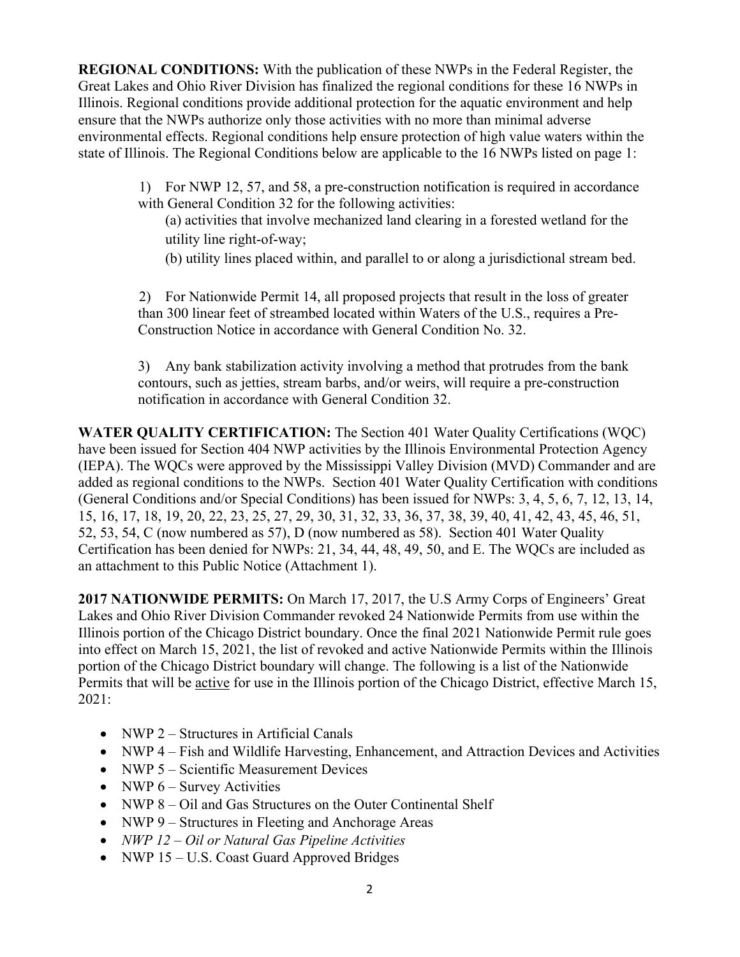**REGIONAL CONDITIONS:** With the publication of these NWPs in the Federal Register, the Great Lakes and Ohio River Division has finalized the regional conditions for these 16 NWPs in Illinois. Regional conditions provide additional protection for the aquatic environment and help ensure that the NWPs authorize only those activities with no more than minimal adverse environmental effects. Regional conditions help ensure protection of high value waters within the state of Illinois. The Regional Conditions below are applicable to the 16 NWPs listed on page 1:

> 1) For NWP 12, 57, and 58, a pre-construction notification is required in accordance with General Condition 32 for the following activities:

- (a) activities that involve mechanized land clearing in a forested wetland for the utility line right-of-way;
- (b) utility lines placed within, and parallel to or along a jurisdictional stream bed.

2) For Nationwide Permit 14, all proposed projects that result in the loss of greater than 300 linear feet of streambed located within Waters of the U.S., requires a Pre-Construction Notice in accordance with General Condition No. 32.

3) Any bank stabilization activity involving a method that protrudes from the bank contours, such as jetties, stream barbs, and/or weirs, will require a pre-construction notification in accordance with General Condition 32.

**WATER QUALITY CERTIFICATION:** The Section 401 Water Quality Certifications (WQC) have been issued for Section 404 NWP activities by the Illinois Environmental Protection Agency (IEPA). The WQCs were approved by the Mississippi Valley Division (MVD) Commander and are added as regional conditions to the NWPs. Section 401 Water Quality Certification with conditions (General Conditions and/or Special Conditions) has been issued for NWPs: 3, 4, 5, 6, 7, 12, 13, 14, 15, 16, 17, 18, 19, 20, 22, 23, 25, 27, 29, 30, 31, 32, 33, 36, 37, 38, 39, 40, 41, 42, 43, 45, 46, 51, 52, 53, 54, C (now numbered as 57), D (now numbered as 58). Section 401 Water Quality Certification has been denied for NWPs: 21, 34, 44, 48, 49, 50, and E. The WQCs are included as an attachment to this Public Notice (Attachment 1).

**2017 NATIONWIDE PERMITS:** On March 17, 2017, the U.S Army Corps of Engineers' Great Lakes and Ohio River Division Commander revoked 24 Nationwide Permits from use within the Illinois portion of the Chicago District boundary. Once the final 2021 Nationwide Permit rule goes into effect on March 15, 2021, the list of revoked and active Nationwide Permits within the Illinois portion of the Chicago District boundary will change. The following is a list of the Nationwide Permits that will be active for use in the Illinois portion of the Chicago District, effective March 15, 2021:

- NWP 2 Structures in Artificial Canals
- NWP 4 Fish and Wildlife Harvesting, Enhancement, and Attraction Devices and Activities
- NWP 5 Scientific Measurement Devices
- NWP  $6 -$  Survey Activities
- NWP 8 Oil and Gas Structures on the Outer Continental Shelf
- NWP 9 Structures in Fleeting and Anchorage Areas
- *NWP 12 Oil or Natural Gas Pipeline Activities*
- NWP 15 U.S. Coast Guard Approved Bridges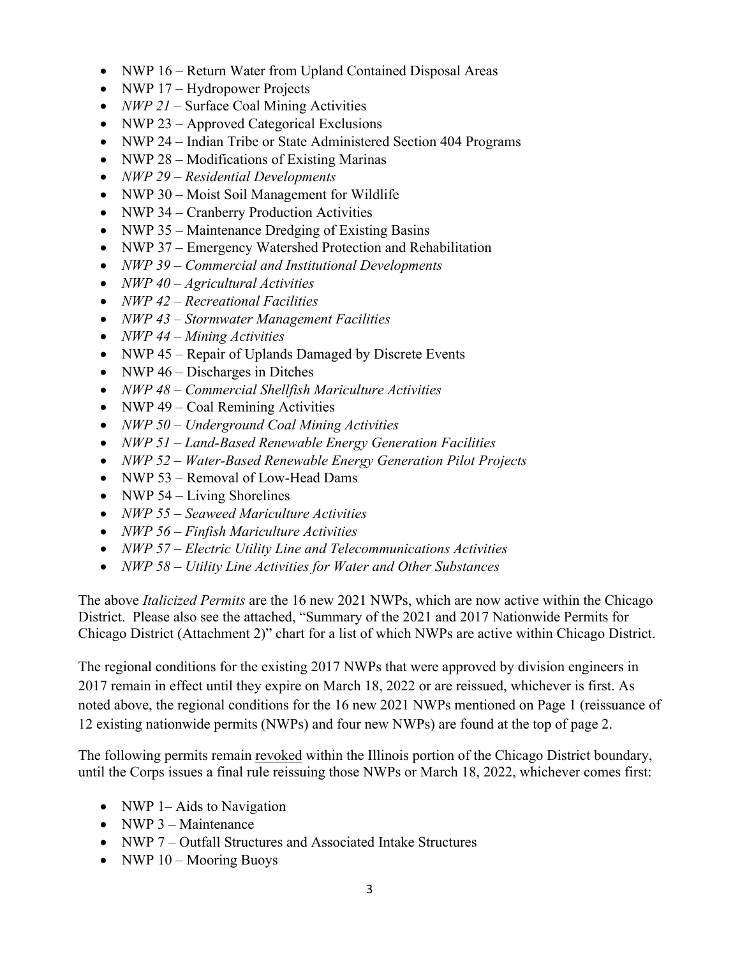- NWP 16 Return Water from Upland Contained Disposal Areas
- NWP 17 Hydropower Projects
- *NWP 21* Surface Coal Mining Activities
- NWP 23 Approved Categorical Exclusions
- NWP 24 Indian Tribe or State Administered Section 404 Programs
- NWP 28 Modifications of Existing Marinas
- *NWP 29 Residential Developments*
- NWP 30 Moist Soil Management for Wildlife
- NWP 34 Cranberry Production Activities
- NWP 35 Maintenance Dredging of Existing Basins
- NWP 37 Emergency Watershed Protection and Rehabilitation
- *NWP 39 Commercial and Institutional Developments*
- *NWP 40 Agricultural Activities*
- *NWP 42 Recreational Facilities*
- *NWP 43 Stormwater Management Facilities*
- *NWP 44 Mining Activities*
- NWP 45 Repair of Uplands Damaged by Discrete Events
- NWP  $46 Discharges$  in Ditches
- *NWP 48 Commercial Shellfish Mariculture Activities*
- NWP  $49 \text{Coal Remining Activities}$
- *NWP 50 Underground Coal Mining Activities*
- *NWP 51 Land-Based Renewable Energy Generation Facilities*
- *NWP 52 Water-Based Renewable Energy Generation Pilot Projects*
- NWP 53 Removal of Low-Head Dams
- NWP  $54 Living Shortlines$
- *NWP 55 Seaweed Mariculture Activities*
- *NWP 56 Finfish Mariculture Activities*
- *NWP 57 Electric Utility Line and Telecommunications Activities*
- *NWP 58 Utility Line Activities for Water and Other Substances*

The above *Italicized Permits* are the 16 new 2021 NWPs, which are now active within the Chicago District. Please also see the attached, "Summary of the 2021 and 2017 Nationwide Permits for Chicago District (Attachment 2)" chart for a list of which NWPs are active within Chicago District.

The regional conditions for the existing 2017 NWPs that were approved by division engineers in 2017 remain in effect until they expire on March 18, 2022 or are reissued, whichever is first. As noted above, the regional conditions for the 16 new 2021 NWPs mentioned on Page 1 (reissuance of 12 existing nationwide permits (NWPs) and four new NWPs) are found at the top of page 2.

The following permits remain revoked within the Illinois portion of the Chicago District boundary, until the Corps issues a final rule reissuing those NWPs or March 18, 2022, whichever comes first:

- NWP 1– Aids to Navigation
- NWP  $3$ Maintenance
- NWP 7 Outfall Structures and Associated Intake Structures
- NWP  $10 -$ Mooring Buoys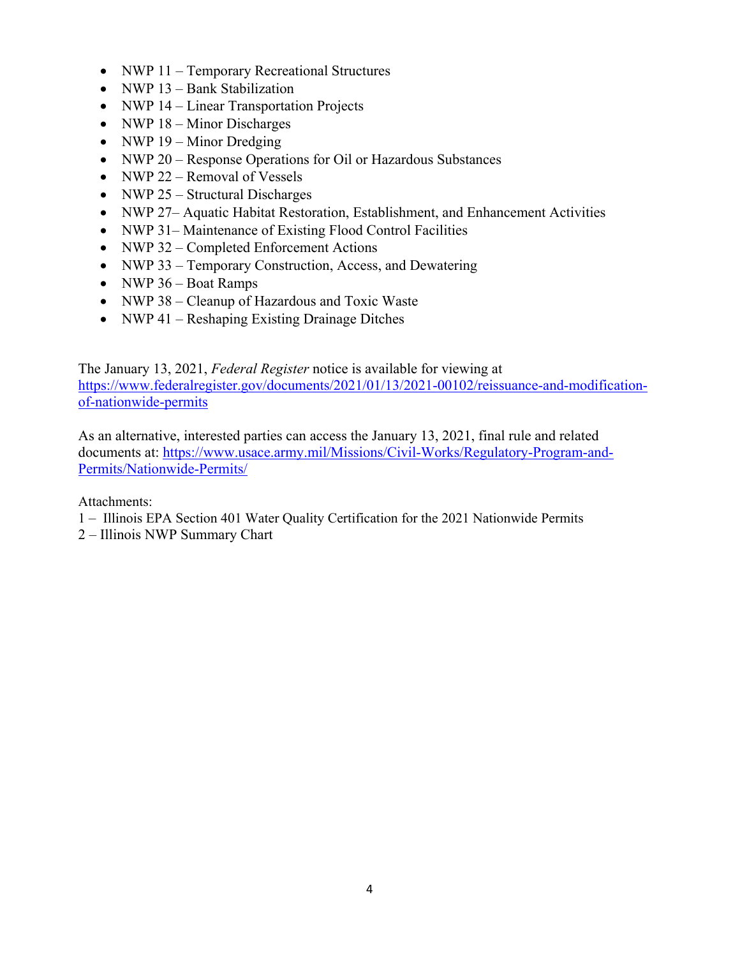- NWP 11 Temporary Recreational Structures
- NWP 13 Bank Stabilization
- NWP 14 Linear Transportation Projects
- NWP  $18 -$ Minor Discharges
- NWP  $19 -$  Minor Dredging
- NWP 20 Response Operations for Oil or Hazardous Substances
- NWP 22 Removal of Vessels
- NWP 25 Structural Discharges
- NWP 27– Aquatic Habitat Restoration, Establishment, and Enhancement Activities
- NWP 31– Maintenance of Existing Flood Control Facilities
- NWP 32 Completed Enforcement Actions
- NWP 33 Temporary Construction, Access, and Dewatering
- NWP  $36$  Boat Ramps
- NWP 38 Cleanup of Hazardous and Toxic Waste
- NWP 41 Reshaping Existing Drainage Ditches

The January 13, 2021, *Federal Register* notice is available for viewing at https://www.federalregister.gov/documents/2021/01/13/2021-00102/reissuance-and-modificationof-nationwide-permits

As an alternative, interested parties can access the January 13, 2021, final rule and related documents at: https://www.usace.army.mil/Missions/Civil-Works/Regulatory-Program-and-Permits/Nationwide-Permits/

Attachments:

- 1 Illinois EPA Section 401 Water Quality Certification for the 2021 Nationwide Permits
- 2 Illinois NWP Summary Chart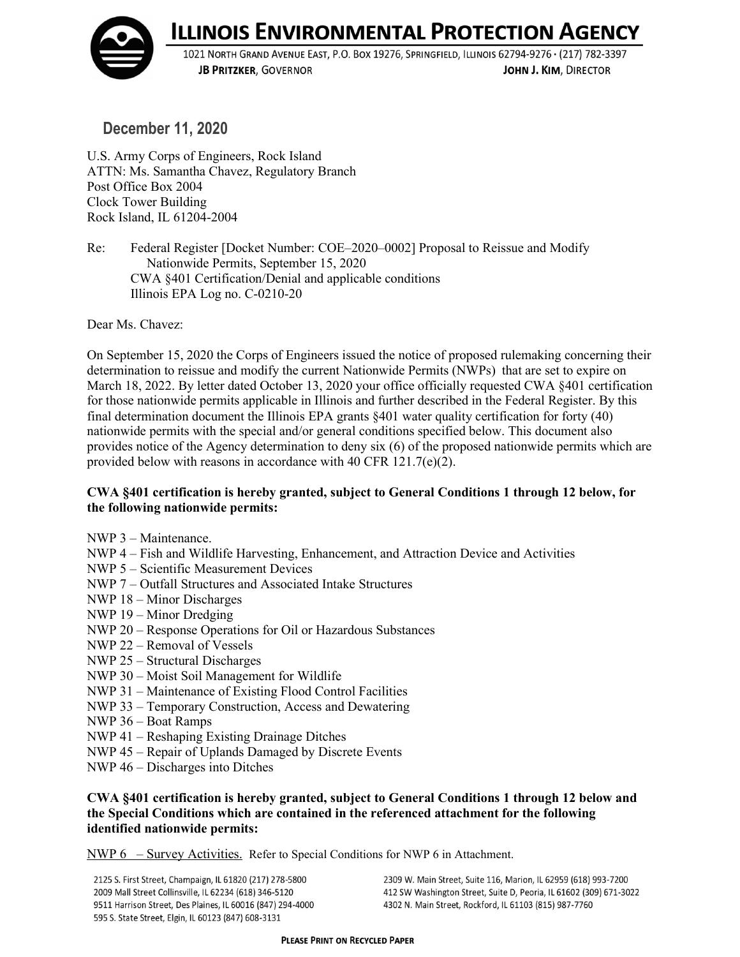**ILLINOIS ENVIRONMENTAL PROTECTION AGENCY** 



1021 NORTH GRAND AVENUE EAST, P.O. BOX 19276, SPRINGFIELD, ILLINOIS 62794-9276 · (217) 782-3397 **JB PRITZKER, GOVERNOR** JOHN J. KIM, DIRECTOR

**December 11, 2020**

U.S. Army Corps of Engineers, Rock Island ATTN: Ms. Samantha Chavez, Regulatory Branch Post Office Box 2004 Clock Tower Building Rock Island, IL 61204-2004

Re: Federal Register [Docket Number: COE–2020–0002] Proposal to Reissue and Modify Nationwide Permits, September 15, 2020 CWA §401 Certification/Denial and applicable conditions Illinois EPA Log no. C-0210-20

Dear Ms. Chavez:

On September 15, 2020 the Corps of Engineers issued the notice of proposed rulemaking concerning their determination to reissue and modify the current Nationwide Permits (NWPs) that are set to expire on March 18, 2022. By letter dated October 13, 2020 your office officially requested CWA §401 certification for those nationwide permits applicable in Illinois and further described in the Federal Register. By this final determination document the Illinois EPA grants §401 water quality certification for forty (40) nationwide permits with the special and/or general conditions specified below. This document also provides notice of the Agency determination to deny six (6) of the proposed nationwide permits which are provided below with reasons in accordance with 40 CFR 121.7(e)(2).

# **CWA §401 certification is hereby granted, subject to General Conditions 1 through 12 below, for the following nationwide permits:**

- NWP 3 Maintenance.
- NWP 4 Fish and Wildlife Harvesting, Enhancement, and Attraction Device and Activities
- NWP 5 Scientific Measurement Devices
- NWP 7 Outfall Structures and Associated Intake Structures
- NWP 18 Minor Discharges
- NWP 19 Minor Dredging
- NWP 20 Response Operations for Oil or Hazardous Substances
- NWP 22 Removal of Vessels
- NWP 25 Structural Discharges
- NWP 30 Moist Soil Management for Wildlife
- NWP 31 Maintenance of Existing Flood Control Facilities
- NWP 33 Temporary Construction, Access and Dewatering
- NWP 36 Boat Ramps
- NWP 41 Reshaping Existing Drainage Ditches
- NWP 45 Repair of Uplands Damaged by Discrete Events
- NWP 46 Discharges into Ditches

# **CWA §401 certification is hereby granted, subject to General Conditions 1 through 12 below and the Special Conditions which are contained in the referenced attachment for the following identified nationwide permits:**

NWP 6 – Survey Activities. Refer to Special Conditions for NWP 6 in Attachment.

2125 S. First Street, Champaign, IL 61820 (217) 278-5800 2009 Mall Street Collinsville, IL 62234 (618) 346-5120 9511 Harrison Street, Des Plaines, IL 60016 (847) 294-4000 595 S. State Street, Elgin, IL 60123 (847) 608-3131

2309 W. Main Street, Suite 116, Marion, IL 62959 (618) 993-7200 412 SW Washington Street, Suite D, Peoria, IL 61602 (309) 671-3022 4302 N. Main Street, Rockford, IL 61103 (815) 987-7760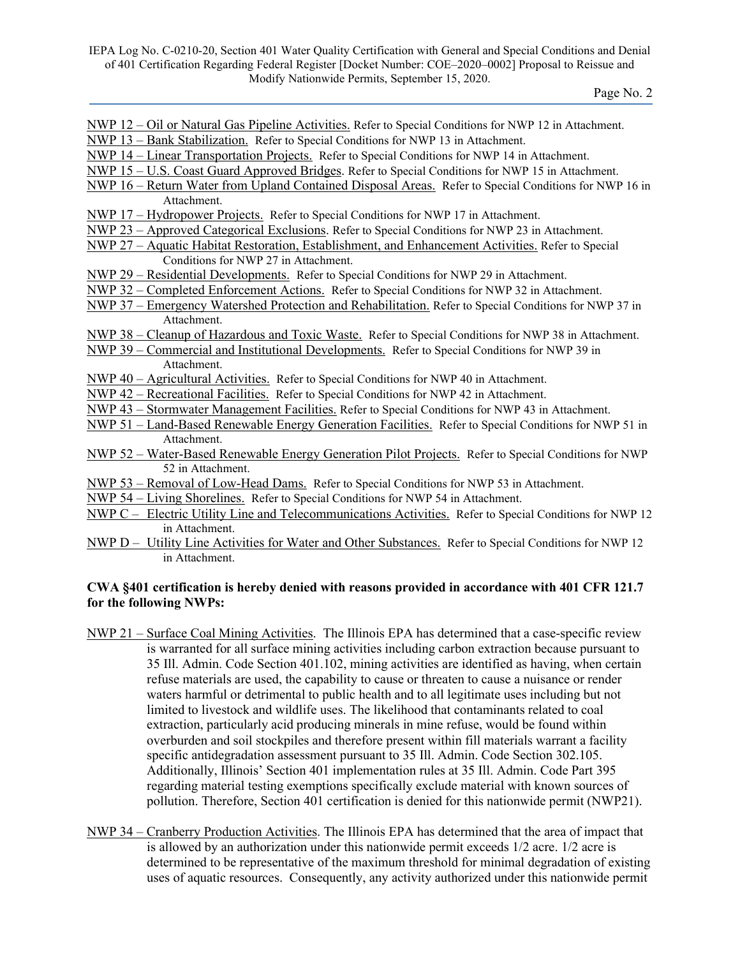NWP 12 – Oil or Natural Gas Pipeline Activities. Refer to Special Conditions for NWP 12 in Attachment.

NWP 13 – Bank Stabilization. Refer to Special Conditions for NWP 13 in Attachment.

- NWP 14 Linear Transportation Projects. Refer to Special Conditions for NWP 14 in Attachment.
- NWP 15 U.S. Coast Guard Approved Bridges. Refer to Special Conditions for NWP 15 in Attachment.
- NWP 16 Return Water from Upland Contained Disposal Areas. Refer to Special Conditions for NWP 16 in Attachment.
- NWP 17 Hydropower Projects. Refer to Special Conditions for NWP 17 in Attachment.
- NWP 23 Approved Categorical Exclusions. Refer to Special Conditions for NWP 23 in Attachment.
- NWP 27 Aquatic Habitat Restoration, Establishment, and Enhancement Activities. Refer to Special Conditions for NWP 27 in Attachment.
- NWP 29 Residential Developments. Refer to Special Conditions for NWP 29 in Attachment.
- NWP 32 Completed Enforcement Actions. Refer to Special Conditions for NWP 32 in Attachment.
- NWP 37 Emergency Watershed Protection and Rehabilitation. Refer to Special Conditions for NWP 37 in Attachment.
- NWP 38 Cleanup of Hazardous and Toxic Waste. Refer to Special Conditions for NWP 38 in Attachment.
- NWP 39 Commercial and Institutional Developments. Refer to Special Conditions for NWP 39 in Attachment.
- NWP 40 Agricultural Activities. Refer to Special Conditions for NWP 40 in Attachment.
- NWP 42 Recreational Facilities. Refer to Special Conditions for NWP 42 in Attachment.
- NWP 43 Stormwater Management Facilities. Refer to Special Conditions for NWP 43 in Attachment.
- NWP 51 Land-Based Renewable Energy Generation Facilities. Refer to Special Conditions for NWP 51 in Attachment.
- NWP 52 Water-Based Renewable Energy Generation Pilot Projects. Refer to Special Conditions for NWP 52 in Attachment.
- NWP 53 Removal of Low-Head Dams. Refer to Special Conditions for NWP 53 in Attachment.
- NWP 54 Living Shorelines. Refer to Special Conditions for NWP 54 in Attachment.
- NWP C Electric Utility Line and Telecommunications Activities. Refer to Special Conditions for NWP 12 in Attachment.
- NWP D Utility Line Activities for Water and Other Substances. Refer to Special Conditions for NWP 12 in Attachment.

# **CWA §401 certification is hereby denied with reasons provided in accordance with 401 CFR 121.7 for the following NWPs:**

- NWP 21 Surface Coal Mining Activities. The Illinois EPA has determined that a case-specific review is warranted for all surface mining activities including carbon extraction because pursuant to 35 Ill. Admin. Code Section 401.102, mining activities are identified as having, when certain refuse materials are used, the capability to cause or threaten to cause a nuisance or render waters harmful or detrimental to public health and to all legitimate uses including but not limited to livestock and wildlife uses. The likelihood that contaminants related to coal extraction, particularly acid producing minerals in mine refuse, would be found within overburden and soil stockpiles and therefore present within fill materials warrant a facility specific antidegradation assessment pursuant to 35 Ill. Admin. Code Section 302.105. Additionally, Illinois' Section 401 implementation rules at 35 Ill. Admin. Code Part 395 regarding material testing exemptions specifically exclude material with known sources of pollution. Therefore, Section 401 certification is denied for this nationwide permit (NWP21).
- NWP 34 Cranberry Production Activities. The Illinois EPA has determined that the area of impact that is allowed by an authorization under this nationwide permit exceeds 1/2 acre. 1/2 acre is determined to be representative of the maximum threshold for minimal degradation of existing uses of aquatic resources. Consequently, any activity authorized under this nationwide permit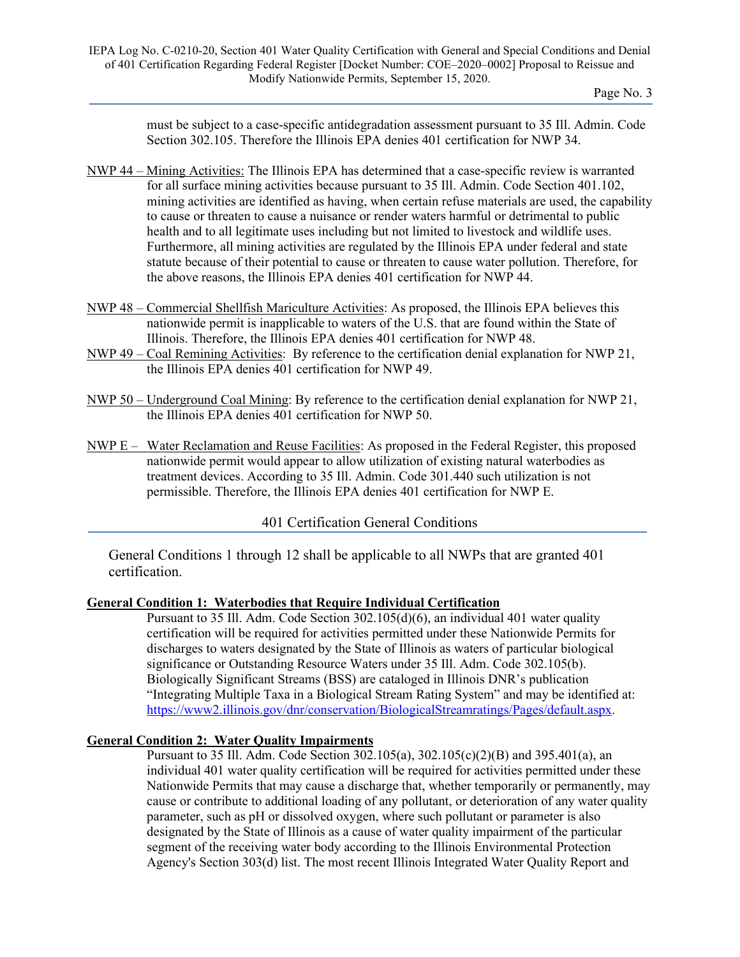must be subject to a case-specific antidegradation assessment pursuant to 35 Ill. Admin. Code Section 302.105. Therefore the Illinois EPA denies 401 certification for NWP 34.

- NWP 44 Mining Activities: The Illinois EPA has determined that a case-specific review is warranted for all surface mining activities because pursuant to 35 Ill. Admin. Code Section 401.102, mining activities are identified as having, when certain refuse materials are used, the capability to cause or threaten to cause a nuisance or render waters harmful or detrimental to public health and to all legitimate uses including but not limited to livestock and wildlife uses. Furthermore, all mining activities are regulated by the Illinois EPA under federal and state statute because of their potential to cause or threaten to cause water pollution. Therefore, for the above reasons, the Illinois EPA denies 401 certification for NWP 44.
- NWP 48 Commercial Shellfish Mariculture Activities: As proposed, the Illinois EPA believes this nationwide permit is inapplicable to waters of the U.S. that are found within the State of Illinois. Therefore, the Illinois EPA denies 401 certification for NWP 48.
- NWP 49 Coal Remining Activities: By reference to the certification denial explanation for NWP 21, the Illinois EPA denies 401 certification for NWP 49.
- NWP 50 Underground Coal Mining: By reference to the certification denial explanation for NWP 21, the Illinois EPA denies 401 certification for NWP 50.
- NWP E Water Reclamation and Reuse Facilities: As proposed in the Federal Register, this proposed nationwide permit would appear to allow utilization of existing natural waterbodies as treatment devices. According to 35 Ill. Admin. Code 301.440 such utilization is not permissible. Therefore, the Illinois EPA denies 401 certification for NWP E.

401 Certification General Conditions

General Conditions 1 through 12 shall be applicable to all NWPs that are granted 401 certification.

# **General Condition 1: Waterbodies that Require Individual Certification**

Pursuant to 35 Ill. Adm. Code Section 302.105(d)(6), an individual 401 water quality certification will be required for activities permitted under these Nationwide Permits for discharges to waters designated by the State of Illinois as waters of particular biological significance or Outstanding Resource Waters under 35 Ill. Adm. Code 302.105(b). Biologically Significant Streams (BSS) are cataloged in Illinois DNR's publication "Integrating Multiple Taxa in a Biological Stream Rating System" and may be identified at: [https://www2.illinois.gov/dnr/conservation/BiologicalStreamratings/Pages/default.aspx.](https://www2.illinois.gov/dnr/conservation/BiologicalStreamratings/Pages/default.aspx)

# **General Condition 2: Water Quality Impairments**

Pursuant to 35 Ill. Adm. Code Section 302.105(a), 302.105(c)(2)(B) and 395.401(a), an individual 401 water quality certification will be required for activities permitted under these Nationwide Permits that may cause a discharge that, whether temporarily or permanently, may cause or contribute to additional loading of any pollutant, or deterioration of any water quality parameter, such as pH or dissolved oxygen, where such pollutant or parameter is also designated by the State of Illinois as a cause of water quality impairment of the particular segment of the receiving water body according to the Illinois Environmental Protection Agency's Section 303(d) list. The most recent Illinois Integrated Water Quality Report and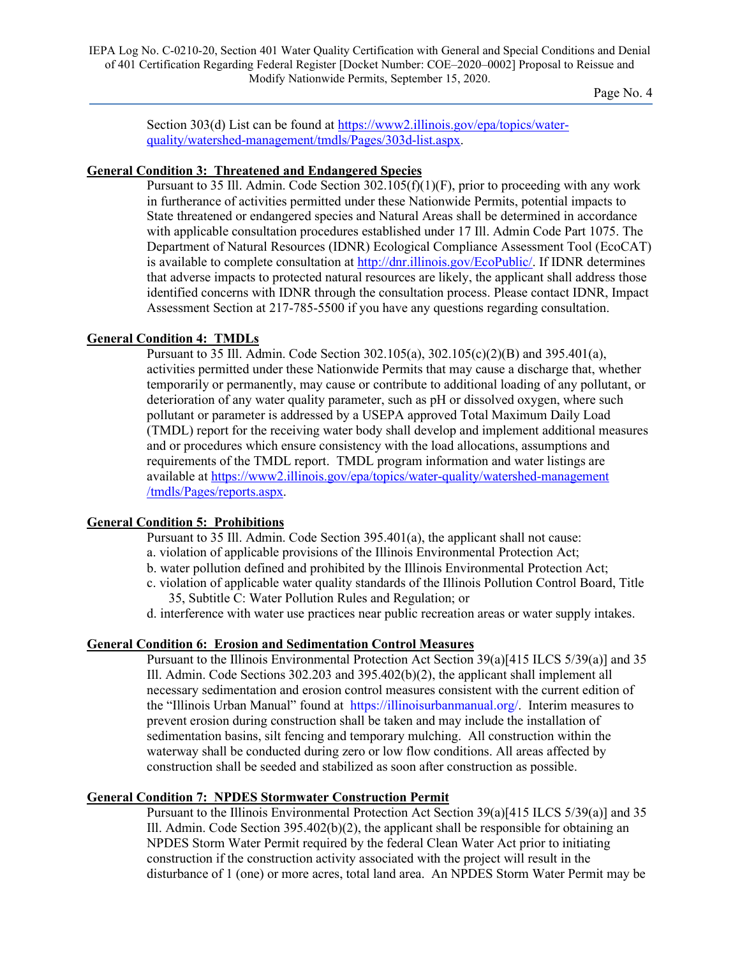IEPA Log No. C-0210-20, Section 401 Water Quality Certification with General and Special Conditions and Denial of 401 Certification Regarding Federal Register [Docket Number: COE–2020–0002] Proposal to Reissue and Modify Nationwide Permits, September 15, 2020.

Page No. 4

Section 303(d) List can be found at [https://www2.illinois.gov/epa/topics/water](https://www2.illinois.gov/epa/topics/water-quality/watershed-management/tmdls/Pages/303d-list.aspx)[quality/watershed-management/tmdls/Pages/303d-list.aspx.](https://www2.illinois.gov/epa/topics/water-quality/watershed-management/tmdls/Pages/303d-list.aspx)

#### **General Condition 3: Threatened and Endangered Species**

Pursuant to 35 Ill. Admin. Code Section 302.105(f)(1)(F), prior to proceeding with any work in furtherance of activities permitted under these Nationwide Permits, potential impacts to State threatened or endangered species and Natural Areas shall be determined in accordance with applicable consultation procedures established under 17 Ill. Admin Code Part 1075. The Department of Natural Resources (IDNR) Ecological Compliance Assessment Tool (EcoCAT) is available to complete consultation a[t http://dnr.illinois.gov/EcoPublic/.](http://dnr.illinois.gov/EcoPublic/) If IDNR determines that adverse impacts to protected natural resources are likely, the applicant shall address those identified concerns with IDNR through the consultation process. Please contact IDNR, Impact Assessment Section at 217-785-5500 if you have any questions regarding consultation.

#### **General Condition 4: TMDLs**

Pursuant to 35 Ill. Admin. Code Section 302.105(a), 302.105(c)(2)(B) and 395.401(a), activities permitted under these Nationwide Permits that may cause a discharge that, whether temporarily or permanently, may cause or contribute to additional loading of any pollutant, or deterioration of any water quality parameter, such as pH or dissolved oxygen, where such pollutant or parameter is addressed by a USEPA approved Total Maximum Daily Load (TMDL) report for the receiving water body shall develop and implement additional measures and or procedures which ensure consistency with the load allocations, assumptions and requirements of the TMDL report. TMDL program information and water listings are available a[t https://www2.illinois.gov/epa/topics/water-quality/watershed-management](https://www2.illinois.gov/epa/topics/water-quality/watershed-management/tmdls/Pages/reports.aspx) [/tmdls/Pages/reports.aspx.](https://www2.illinois.gov/epa/topics/water-quality/watershed-management/tmdls/Pages/reports.aspx)

#### **General Condition 5: Prohibitions**

Pursuant to 35 Ill. Admin. Code Section 395.401(a), the applicant shall not cause: a. violation of applicable provisions of the Illinois Environmental Protection Act;

- b. water pollution defined and prohibited by the Illinois Environmental Protection Act;
- c. violation of applicable water quality standards of the Illinois Pollution Control Board, Title 35, Subtitle C: Water Pollution Rules and Regulation; or

d. interference with water use practices near public recreation areas or water supply intakes.

#### **General Condition 6: Erosion and Sedimentation Control Measures**

Pursuant to the Illinois Environmental Protection Act Section 39(a)[415 ILCS 5/39(a)] and 35 Ill. Admin. Code Sections 302.203 and 395.402(b)(2), the applicant shall implement all necessary sedimentation and erosion control measures consistent with the current edition of the "Illinois Urban Manual" found at [https://illinoisurbanmanual.org/.](https://illinoisurbanmanual.org/) Interim measures to prevent erosion during construction shall be taken and may include the installation of sedimentation basins, silt fencing and temporary mulching. All construction within the waterway shall be conducted during zero or low flow conditions. All areas affected by construction shall be seeded and stabilized as soon after construction as possible.

#### **General Condition 7: NPDES Stormwater Construction Permit**

Pursuant to the Illinois Environmental Protection Act Section 39(a)[415 ILCS 5/39(a)] and 35 Ill. Admin. Code Section  $395.402(b)(2)$ , the applicant shall be responsible for obtaining an NPDES Storm Water Permit required by the federal Clean Water Act prior to initiating construction if the construction activity associated with the project will result in the disturbance of 1 (one) or more acres, total land area. An NPDES Storm Water Permit may be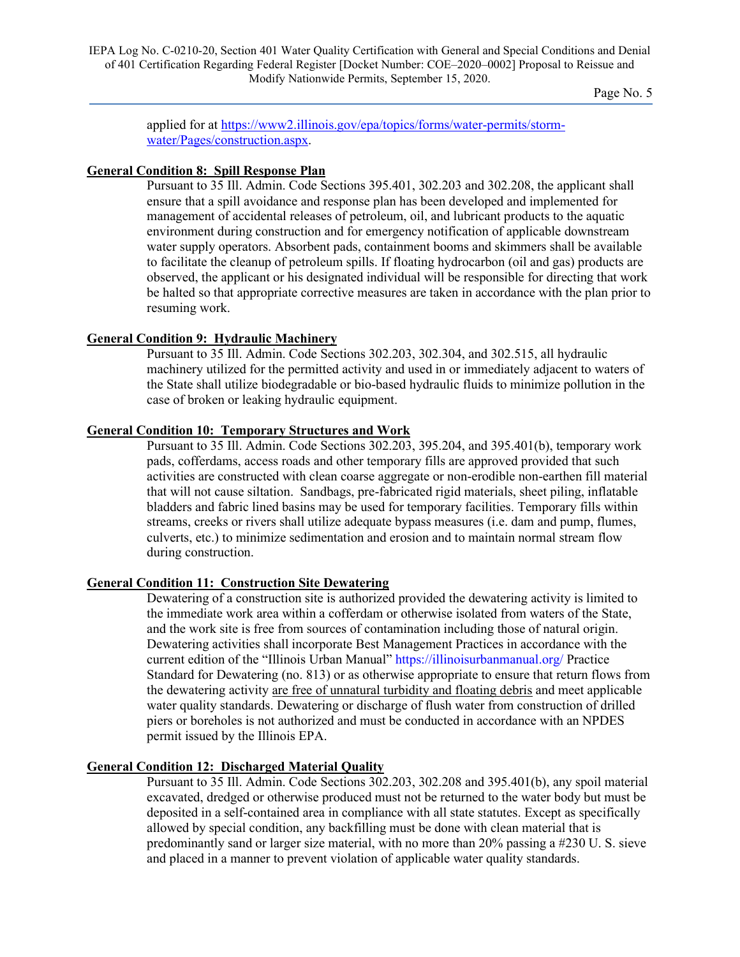applied for at [https://www2.illinois.gov/epa/topics/forms/water-permits/storm](https://www2.illinois.gov/epa/topics/forms/water-permits/storm-water/Pages/construction.aspx)[water/Pages/construction.aspx.](https://www2.illinois.gov/epa/topics/forms/water-permits/storm-water/Pages/construction.aspx)

#### **General Condition 8: Spill Response Plan**

Pursuant to 35 Ill. Admin. Code Sections 395.401, 302.203 and 302.208, the applicant shall ensure that a spill avoidance and response plan has been developed and implemented for management of accidental releases of petroleum, oil, and lubricant products to the aquatic environment during construction and for emergency notification of applicable downstream water supply operators. Absorbent pads, containment booms and skimmers shall be available to facilitate the cleanup of petroleum spills. If floating hydrocarbon (oil and gas) products are observed, the applicant or his designated individual will be responsible for directing that work be halted so that appropriate corrective measures are taken in accordance with the plan prior to resuming work.

#### **General Condition 9: Hydraulic Machinery**

Pursuant to 35 Ill. Admin. Code Sections 302.203, 302.304, and 302.515, all hydraulic machinery utilized for the permitted activity and used in or immediately adjacent to waters of the State shall utilize biodegradable or bio-based hydraulic fluids to minimize pollution in the case of broken or leaking hydraulic equipment.

# **General Condition 10: Temporary Structures and Work**

Pursuant to 35 Ill. Admin. Code Sections 302.203, 395.204, and 395.401(b), temporary work pads, cofferdams, access roads and other temporary fills are approved provided that such activities are constructed with clean coarse aggregate or non-erodible non-earthen fill material that will not cause siltation. Sandbags, pre-fabricated rigid materials, sheet piling, inflatable bladders and fabric lined basins may be used for temporary facilities. Temporary fills within streams, creeks or rivers shall utilize adequate bypass measures (i.e. dam and pump, flumes, culverts, etc.) to minimize sedimentation and erosion and to maintain normal stream flow during construction.

#### **General Condition 11: Construction Site Dewatering**

Dewatering of a construction site is authorized provided the dewatering activity is limited to the immediate work area within a cofferdam or otherwise isolated from waters of the State, and the work site is free from sources of contamination including those of natural origin. Dewatering activities shall incorporate Best Management Practices in accordance with the current edition of the "Illinois Urban Manual"<https://illinoisurbanmanual.org/> Practice Standard for Dewatering (no. 813) or as otherwise appropriate to ensure that return flows from the dewatering activity are free of unnatural turbidity and floating debris and meet applicable water quality standards. Dewatering or discharge of flush water from construction of drilled piers or boreholes is not authorized and must be conducted in accordance with an NPDES permit issued by the Illinois EPA.

#### **General Condition 12: Discharged Material Quality**

Pursuant to 35 Ill. Admin. Code Sections 302.203, 302.208 and 395.401(b), any spoil material excavated, dredged or otherwise produced must not be returned to the water body but must be deposited in a self-contained area in compliance with all state statutes. Except as specifically allowed by special condition, any backfilling must be done with clean material that is predominantly sand or larger size material, with no more than 20% passing a #230 U. S. sieve and placed in a manner to prevent violation of applicable water quality standards.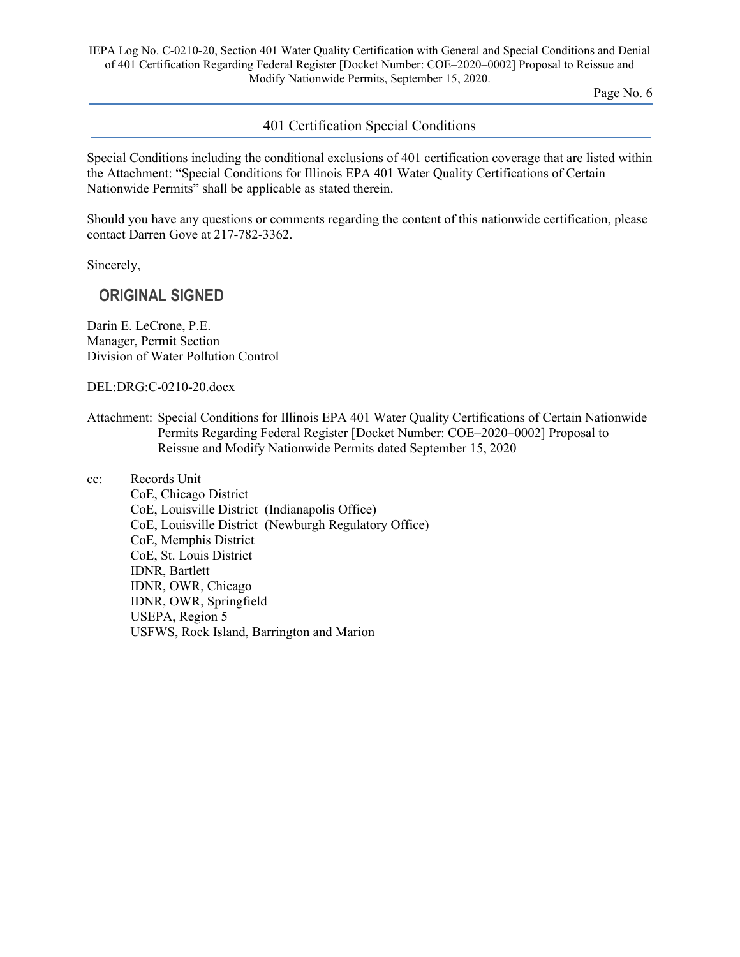IEPA Log No. C-0210-20, Section 401 Water Quality Certification with General and Special Conditions and Denial of 401 Certification Regarding Federal Register [Docket Number: COE–2020–0002] Proposal to Reissue and Modify Nationwide Permits, September 15, 2020.

Page No. 6

#### 401 Certification Special Conditions

Special Conditions including the conditional exclusions of 401 certification coverage that are listed within the Attachment: "Special Conditions for Illinois EPA 401 Water Quality Certifications of Certain Nationwide Permits" shall be applicable as stated therein.

Should you have any questions or comments regarding the content of this nationwide certification, please contact Darren Gove at 217-782-3362.

Sincerely,

# **ORIGINAL SIGNED**

Darin E. LeCrone, P.E. Manager, Permit Section Division of Water Pollution Control

DEL:DRG:C-0210-20.docx

Attachment: Special Conditions for Illinois EPA 401 Water Quality Certifications of Certain Nationwide Permits Regarding Federal Register [Docket Number: COE–2020–0002] Proposal to Reissue and Modify Nationwide Permits dated September 15, 2020

cc: Records Unit

CoE, Chicago District CoE, Louisville District (Indianapolis Office) CoE, Louisville District (Newburgh Regulatory Office) CoE, Memphis District CoE, St. Louis District IDNR, Bartlett IDNR, OWR, Chicago IDNR, OWR, Springfield USEPA, Region 5 USFWS, Rock Island, Barrington and Marion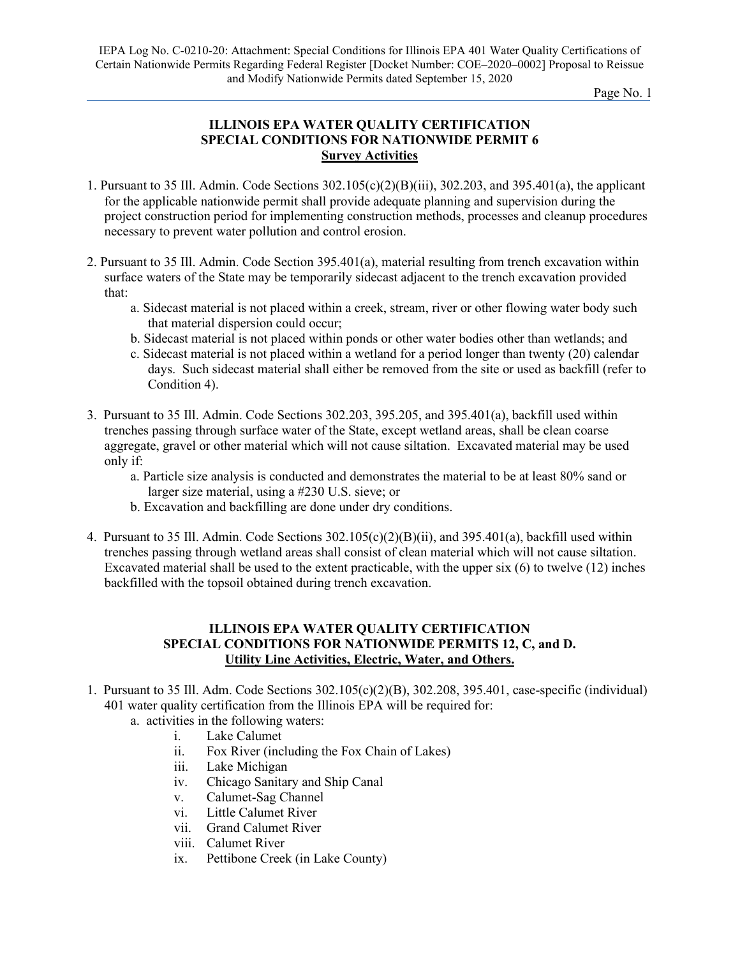# **ILLINOIS EPA WATER QUALITY CERTIFICATION SPECIAL CONDITIONS FOR NATIONWIDE PERMIT 6 Survey Activities**

- 1. Pursuant to 35 Ill. Admin. Code Sections 302.105(c)(2)(B)(iii), 302.203, and 395.401(a), the applicant for the applicable nationwide permit shall provide adequate planning and supervision during the project construction period for implementing construction methods, processes and cleanup procedures necessary to prevent water pollution and control erosion.
- 2. Pursuant to 35 Ill. Admin. Code Section 395.401(a), material resulting from trench excavation within surface waters of the State may be temporarily sidecast adjacent to the trench excavation provided that:
	- a. Sidecast material is not placed within a creek, stream, river or other flowing water body such that material dispersion could occur;
	- b. Sidecast material is not placed within ponds or other water bodies other than wetlands; and
	- c. Sidecast material is not placed within a wetland for a period longer than twenty (20) calendar days. Such sidecast material shall either be removed from the site or used as backfill (refer to Condition 4).
- 3. Pursuant to 35 Ill. Admin. Code Sections 302.203, 395.205, and 395.401(a), backfill used within trenches passing through surface water of the State, except wetland areas, shall be clean coarse aggregate, gravel or other material which will not cause siltation. Excavated material may be used only if:
	- a. Particle size analysis is conducted and demonstrates the material to be at least 80% sand or larger size material, using a #230 U.S. sieve; or
	- b. Excavation and backfilling are done under dry conditions.
- 4. Pursuant to 35 Ill. Admin. Code Sections  $302.105(c)(2)(B)(ii)$ , and  $395.401(a)$ , backfill used within trenches passing through wetland areas shall consist of clean material which will not cause siltation. Excavated material shall be used to the extent practicable, with the upper six (6) to twelve (12) inches backfilled with the topsoil obtained during trench excavation.

# **ILLINOIS EPA WATER QUALITY CERTIFICATION SPECIAL CONDITIONS FOR NATIONWIDE PERMITS 12, C, and D. Utility Line Activities, Electric, Water, and Others.**

- 1. Pursuant to 35 Ill. Adm. Code Sections 302.105(c)(2)(B), 302.208, 395.401, case-specific (individual) 401 water quality certification from the Illinois EPA will be required for:
	- a. activities in the following waters:
		- i. Lake Calumet
		- ii. Fox River (including the Fox Chain of Lakes)
		- iii. Lake Michigan
		- iv. Chicago Sanitary and Ship Canal
		- v. Calumet-Sag Channel
		- vi. Little Calumet River
		- vii. Grand Calumet River
		- viii. Calumet River
		- ix. Pettibone Creek (in Lake County)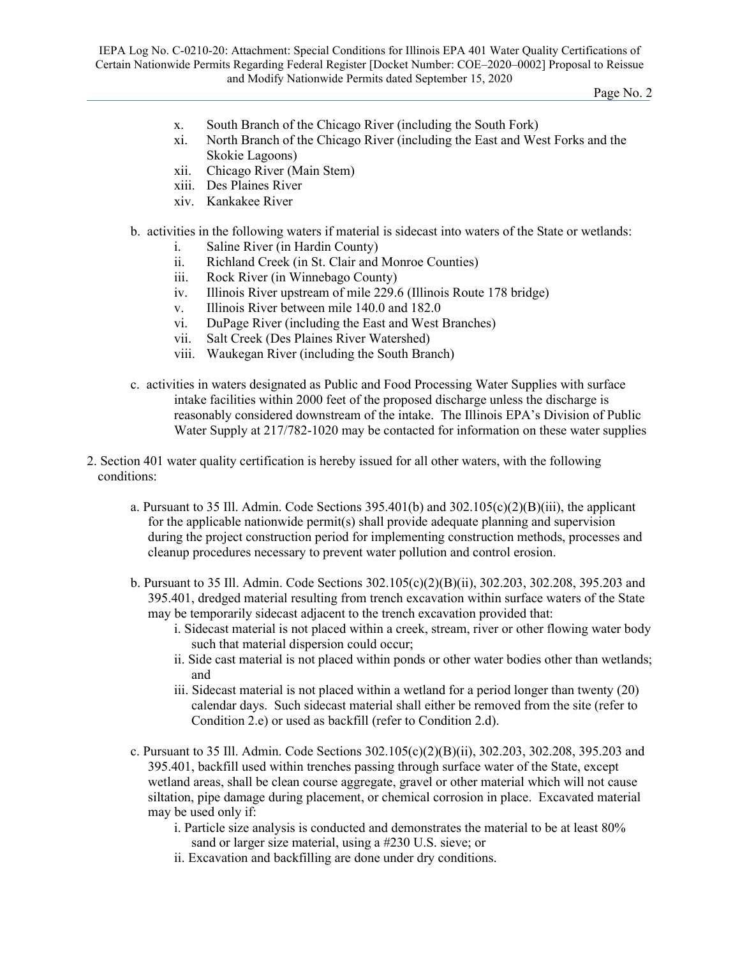- x. South Branch of the Chicago River (including the South Fork)
- xi. North Branch of the Chicago River (including the East and West Forks and the Skokie Lagoons)
- xii. Chicago River (Main Stem)
- xiii. Des Plaines River
- xiv. Kankakee River
- b. activities in the following waters if material is sidecast into waters of the State or wetlands:
	- i. Saline River (in Hardin County)
	- ii. Richland Creek (in St. Clair and Monroe Counties)
	- iii. Rock River (in Winnebago County)
	- iv. Illinois River upstream of mile 229.6 (Illinois Route 178 bridge)
	- v. Illinois River between mile 140.0 and 182.0
	- vi. DuPage River (including the East and West Branches)
	- vii. Salt Creek (Des Plaines River Watershed)
	- viii. Waukegan River (including the South Branch)
- c. activities in waters designated as Public and Food Processing Water Supplies with surface intake facilities within 2000 feet of the proposed discharge unless the discharge is reasonably considered downstream of the intake. The Illinois EPA's Division of Public Water Supply at 217/782-1020 may be contacted for information on these water supplies
- 2. Section 401 water quality certification is hereby issued for all other waters, with the following conditions:
	- a. Pursuant to 35 Ill. Admin. Code Sections 395.401(b) and 302.105(c)(2)(B)(iii), the applicant for the applicable nationwide permit(s) shall provide adequate planning and supervision during the project construction period for implementing construction methods, processes and cleanup procedures necessary to prevent water pollution and control erosion.
	- b. Pursuant to 35 Ill. Admin. Code Sections 302.105(c)(2)(B)(ii), 302.203, 302.208, 395.203 and 395.401, dredged material resulting from trench excavation within surface waters of the State may be temporarily sidecast adjacent to the trench excavation provided that:
		- i. Sidecast material is not placed within a creek, stream, river or other flowing water body such that material dispersion could occur;
		- ii. Side cast material is not placed within ponds or other water bodies other than wetlands; and
		- iii. Sidecast material is not placed within a wetland for a period longer than twenty (20) calendar days. Such sidecast material shall either be removed from the site (refer to Condition 2.e) or used as backfill (refer to Condition 2.d).
	- c. Pursuant to 35 Ill. Admin. Code Sections 302.105(c)(2)(B)(ii), 302.203, 302.208, 395.203 and 395.401, backfill used within trenches passing through surface water of the State, except wetland areas, shall be clean course aggregate, gravel or other material which will not cause siltation, pipe damage during placement, or chemical corrosion in place. Excavated material may be used only if:
		- i. Particle size analysis is conducted and demonstrates the material to be at least 80% sand or larger size material, using a #230 U.S. sieve; or
		- ii. Excavation and backfilling are done under dry conditions.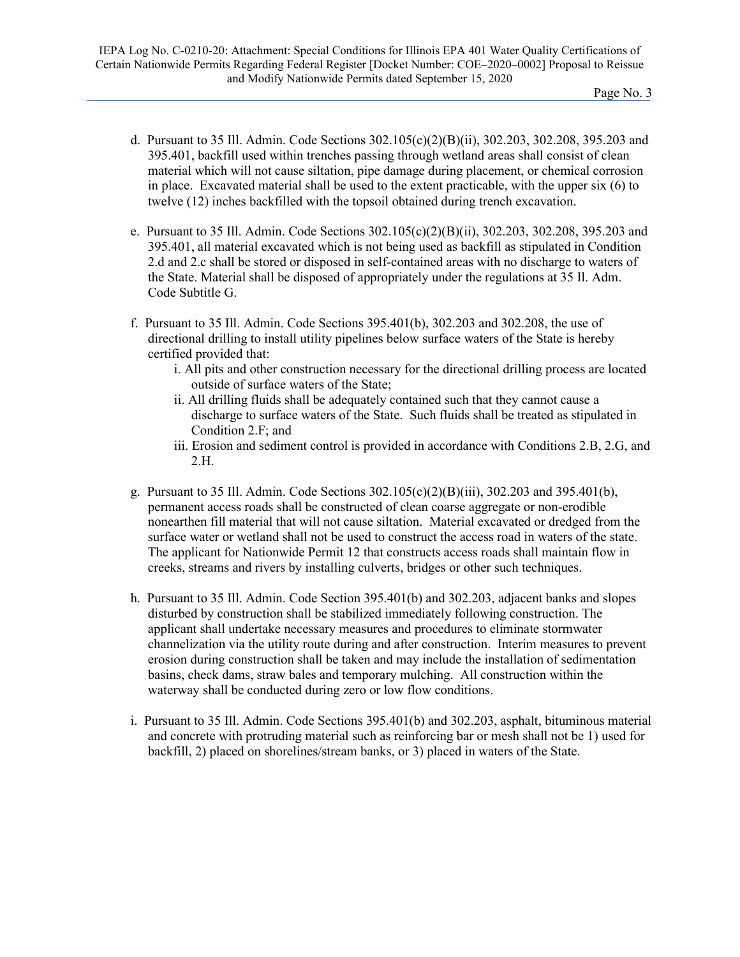- d. Pursuant to 35 Ill. Admin. Code Sections 302.105(c)(2)(B)(ii), 302.203, 302.208, 395.203 and 395.401, backfill used within trenches passing through wetland areas shall consist of clean material which will not cause siltation, pipe damage during placement, or chemical corrosion in place. Excavated material shall be used to the extent practicable, with the upper six (6) to twelve (12) inches backfilled with the topsoil obtained during trench excavation.
- e. Pursuant to 35 Ill. Admin. Code Sections 302.105(c)(2)(B)(ii), 302.203, 302.208, 395.203 and 395.401, all material excavated which is not being used as backfill as stipulated in Condition 2.d and 2.c shall be stored or disposed in self-contained areas with no discharge to waters of the State. Material shall be disposed of appropriately under the regulations at 35 Il. Adm. Code Subtitle G.
- f. Pursuant to 35 Ill. Admin. Code Sections 395.401(b), 302.203 and 302.208, the use of directional drilling to install utility pipelines below surface waters of the State is hereby certified provided that:
	- i. All pits and other construction necessary for the directional drilling process are located outside of surface waters of the State;
	- ii. All drilling fluids shall be adequately contained such that they cannot cause a discharge to surface waters of the State. Such fluids shall be treated as stipulated in Condition 2.F; and
	- iii. Erosion and sediment control is provided in accordance with Conditions 2.B, 2.G, and 2.H.
- g. Pursuant to 35 Ill. Admin. Code Sections 302.105(c)(2)(B)(iii), 302.203 and 395.401(b), permanent access roads shall be constructed of clean coarse aggregate or non-erodible nonearthen fill material that will not cause siltation. Material excavated or dredged from the surface water or wetland shall not be used to construct the access road in waters of the state. The applicant for Nationwide Permit 12 that constructs access roads shall maintain flow in creeks, streams and rivers by installing culverts, bridges or other such techniques.
- h. Pursuant to 35 Ill. Admin. Code Section 395.401(b) and 302.203, adjacent banks and slopes disturbed by construction shall be stabilized immediately following construction. The applicant shall undertake necessary measures and procedures to eliminate stormwater channelization via the utility route during and after construction. Interim measures to prevent erosion during construction shall be taken and may include the installation of sedimentation basins, check dams, straw bales and temporary mulching. All construction within the waterway shall be conducted during zero or low flow conditions.
- i. Pursuant to 35 Ill. Admin. Code Sections 395.401(b) and 302.203, asphalt, bituminous material and concrete with protruding material such as reinforcing bar or mesh shall not be 1) used for backfill, 2) placed on shorelines/stream banks, or 3) placed in waters of the State.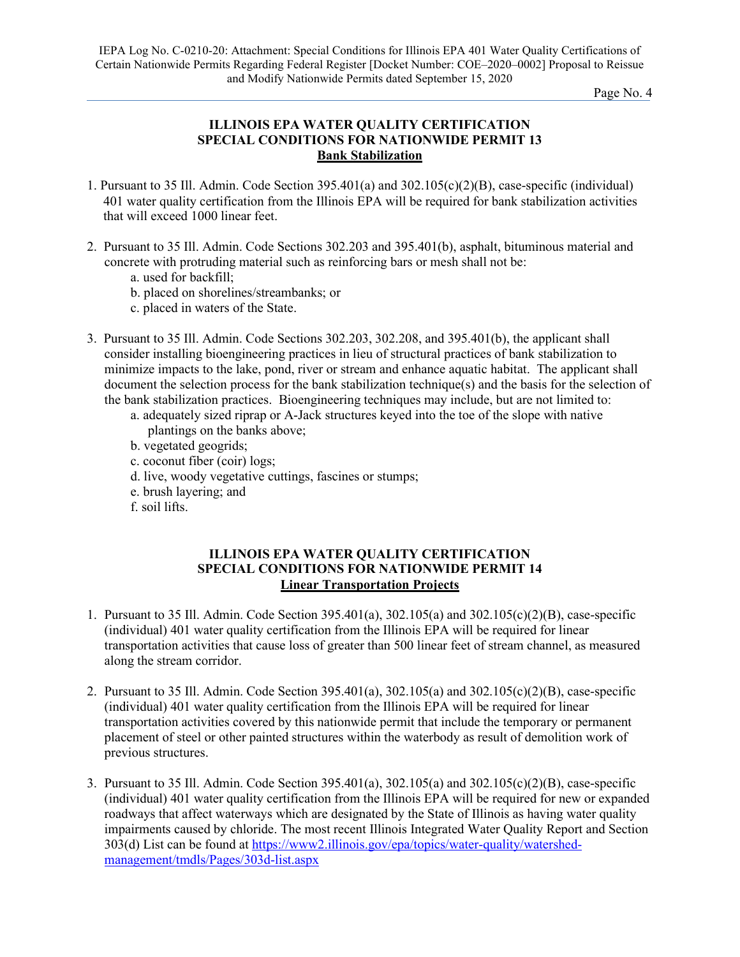# **ILLINOIS EPA WATER QUALITY CERTIFICATION SPECIAL CONDITIONS FOR NATIONWIDE PERMIT 13 Bank Stabilization**

- 1. Pursuant to 35 Ill. Admin. Code Section 395.401(a) and 302.105(c)(2)(B), case-specific (individual) 401 water quality certification from the Illinois EPA will be required for bank stabilization activities that will exceed 1000 linear feet.
- 2. Pursuant to 35 Ill. Admin. Code Sections 302.203 and 395.401(b), asphalt, bituminous material and concrete with protruding material such as reinforcing bars or mesh shall not be:
	- a. used for backfill;
	- b. placed on shorelines/streambanks; or
	- c. placed in waters of the State.
- 3. Pursuant to 35 Ill. Admin. Code Sections 302.203, 302.208, and 395.401(b), the applicant shall consider installing bioengineering practices in lieu of structural practices of bank stabilization to minimize impacts to the lake, pond, river or stream and enhance aquatic habitat. The applicant shall document the selection process for the bank stabilization technique(s) and the basis for the selection of the bank stabilization practices. Bioengineering techniques may include, but are not limited to:
	- a. adequately sized riprap or A-Jack structures keyed into the toe of the slope with native plantings on the banks above;
	- b. vegetated geogrids;
	- c. coconut fiber (coir) logs;
	- d. live, woody vegetative cuttings, fascines or stumps;
	- e. brush layering; and
	- f. soil lifts.

# **ILLINOIS EPA WATER QUALITY CERTIFICATION SPECIAL CONDITIONS FOR NATIONWIDE PERMIT 14 Linear Transportation Projects**

- 1. Pursuant to 35 Ill. Admin. Code Section 395.401(a), 302.105(a) and 302.105(c)(2)(B), case-specific (individual) 401 water quality certification from the Illinois EPA will be required for linear transportation activities that cause loss of greater than 500 linear feet of stream channel, as measured along the stream corridor.
- 2. Pursuant to 35 Ill. Admin. Code Section 395.401(a), 302.105(a) and 302.105(c)(2)(B), case-specific (individual) 401 water quality certification from the Illinois EPA will be required for linear transportation activities covered by this nationwide permit that include the temporary or permanent placement of steel or other painted structures within the waterbody as result of demolition work of previous structures.
- 3. Pursuant to 35 Ill. Admin. Code Section 395.401(a), 302.105(a) and 302.105(c)(2)(B), case-specific (individual) 401 water quality certification from the Illinois EPA will be required for new or expanded roadways that affect waterways which are designated by the State of Illinois as having water quality impairments caused by chloride. The most recent Illinois Integrated Water Quality Report and Section 303(d) List can be found at [https://www2.illinois.gov/epa/topics/water-quality/watershed](https://www2.illinois.gov/epa/topics/water-quality/watershed-management/tmdls/Pages/303d-list.aspx)[management/tmdls/Pages/303d-list.aspx](https://www2.illinois.gov/epa/topics/water-quality/watershed-management/tmdls/Pages/303d-list.aspx)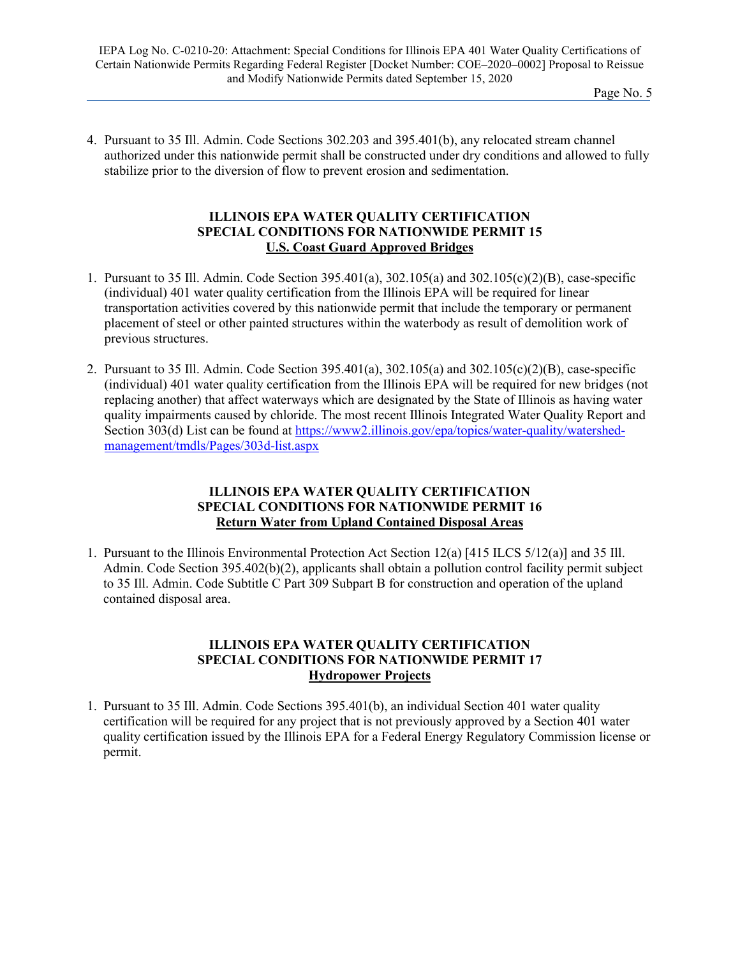4. Pursuant to 35 Ill. Admin. Code Sections 302.203 and 395.401(b), any relocated stream channel authorized under this nationwide permit shall be constructed under dry conditions and allowed to fully stabilize prior to the diversion of flow to prevent erosion and sedimentation.

#### **ILLINOIS EPA WATER QUALITY CERTIFICATION SPECIAL CONDITIONS FOR NATIONWIDE PERMIT 15 U.S. Coast Guard Approved Bridges**

- 1. Pursuant to 35 Ill. Admin. Code Section 395.401(a), 302.105(a) and 302.105(c)(2)(B), case-specific (individual) 401 water quality certification from the Illinois EPA will be required for linear transportation activities covered by this nationwide permit that include the temporary or permanent placement of steel or other painted structures within the waterbody as result of demolition work of previous structures.
- 2. Pursuant to 35 Ill. Admin. Code Section 395.401(a), 302.105(a) and 302.105(c)(2)(B), case-specific (individual) 401 water quality certification from the Illinois EPA will be required for new bridges (not replacing another) that affect waterways which are designated by the State of Illinois as having water quality impairments caused by chloride. The most recent Illinois Integrated Water Quality Report and Section 303(d) List can be found at [https://www2.illinois.gov/epa/topics/water-quality/watershed](https://www2.illinois.gov/epa/topics/water-quality/watershed-management/tmdls/Pages/303d-list.aspx)[management/tmdls/Pages/303d-list.aspx](https://www2.illinois.gov/epa/topics/water-quality/watershed-management/tmdls/Pages/303d-list.aspx)

# **ILLINOIS EPA WATER QUALITY CERTIFICATION SPECIAL CONDITIONS FOR NATIONWIDE PERMIT 16 Return Water from Upland Contained Disposal Areas**

1. Pursuant to the Illinois Environmental Protection Act Section 12(a) [415 ILCS 5/12(a)] and 35 Ill. Admin. Code Section 395.402(b)(2), applicants shall obtain a pollution control facility permit subject to 35 Ill. Admin. Code Subtitle C Part 309 Subpart B for construction and operation of the upland contained disposal area.

#### **ILLINOIS EPA WATER QUALITY CERTIFICATION SPECIAL CONDITIONS FOR NATIONWIDE PERMIT 17 Hydropower Projects**

1. Pursuant to 35 Ill. Admin. Code Sections 395.401(b), an individual Section 401 water quality certification will be required for any project that is not previously approved by a Section 401 water quality certification issued by the Illinois EPA for a Federal Energy Regulatory Commission license or permit.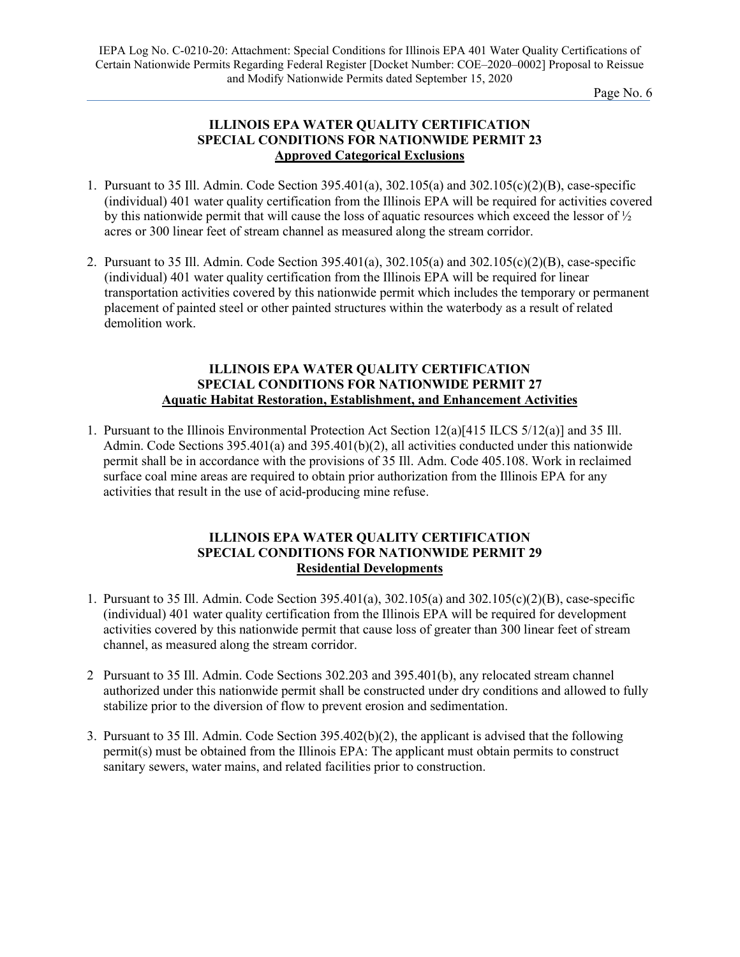# **ILLINOIS EPA WATER QUALITY CERTIFICATION SPECIAL CONDITIONS FOR NATIONWIDE PERMIT 23 Approved Categorical Exclusions**

- 1. Pursuant to 35 Ill. Admin. Code Section 395.401(a), 302.105(a) and 302.105(c)(2)(B), case-specific (individual) 401 water quality certification from the Illinois EPA will be required for activities covered by this nationwide permit that will cause the loss of aquatic resources which exceed the lessor of ½ acres or 300 linear feet of stream channel as measured along the stream corridor.
- 2. Pursuant to 35 Ill. Admin. Code Section 395.401(a), 302.105(a) and 302.105(c)(2)(B), case-specific (individual) 401 water quality certification from the Illinois EPA will be required for linear transportation activities covered by this nationwide permit which includes the temporary or permanent placement of painted steel or other painted structures within the waterbody as a result of related demolition work.

#### **ILLINOIS EPA WATER QUALITY CERTIFICATION SPECIAL CONDITIONS FOR NATIONWIDE PERMIT 27 Aquatic Habitat Restoration, Establishment, and Enhancement Activities**

1. Pursuant to the Illinois Environmental Protection Act Section 12(a)[415 ILCS 5/12(a)] and 35 Ill. Admin. Code Sections 395.401(a) and 395.401(b)(2), all activities conducted under this nationwide permit shall be in accordance with the provisions of 35 Ill. Adm. Code 405.108. Work in reclaimed surface coal mine areas are required to obtain prior authorization from the Illinois EPA for any activities that result in the use of acid-producing mine refuse.

#### **ILLINOIS EPA WATER QUALITY CERTIFICATION SPECIAL CONDITIONS FOR NATIONWIDE PERMIT 29 Residential Developments**

- 1. Pursuant to 35 Ill. Admin. Code Section 395.401(a), 302.105(a) and 302.105(c)(2)(B), case-specific (individual) 401 water quality certification from the Illinois EPA will be required for development activities covered by this nationwide permit that cause loss of greater than 300 linear feet of stream channel, as measured along the stream corridor.
- 2 Pursuant to 35 Ill. Admin. Code Sections 302.203 and 395.401(b), any relocated stream channel authorized under this nationwide permit shall be constructed under dry conditions and allowed to fully stabilize prior to the diversion of flow to prevent erosion and sedimentation.
- 3. Pursuant to 35 Ill. Admin. Code Section 395.402(b)(2), the applicant is advised that the following permit(s) must be obtained from the Illinois EPA: The applicant must obtain permits to construct sanitary sewers, water mains, and related facilities prior to construction.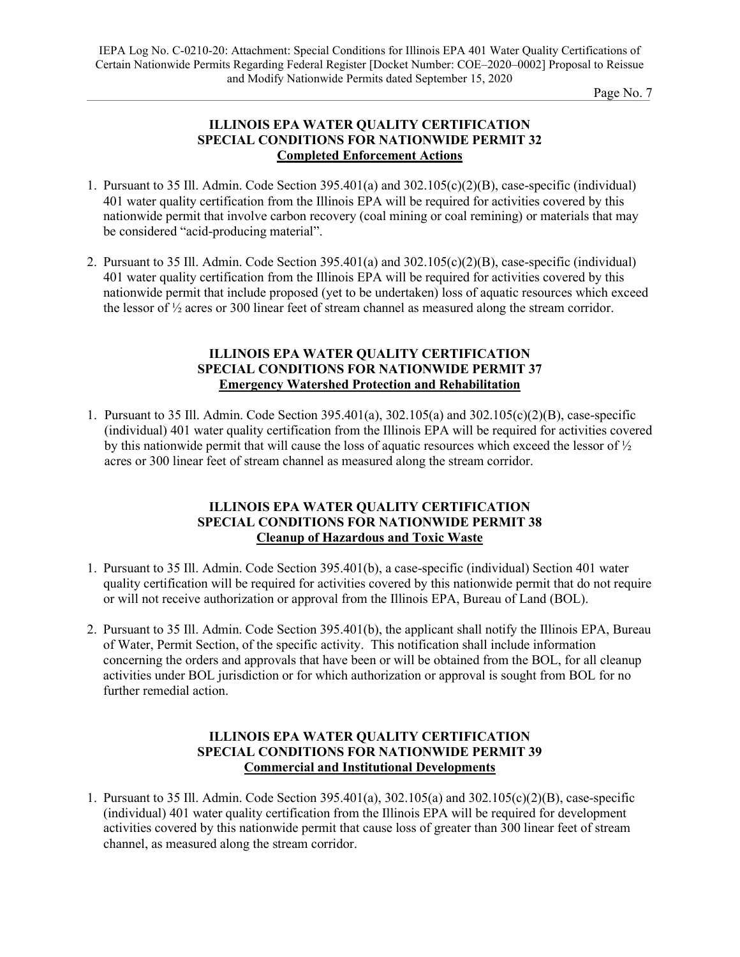# **ILLINOIS EPA WATER QUALITY CERTIFICATION SPECIAL CONDITIONS FOR NATIONWIDE PERMIT 32 Completed Enforcement Actions**

- 1. Pursuant to 35 Ill. Admin. Code Section 395.401(a) and 302.105(c)(2)(B), case-specific (individual) 401 water quality certification from the Illinois EPA will be required for activities covered by this nationwide permit that involve carbon recovery (coal mining or coal remining) or materials that may be considered "acid-producing material".
- 2. Pursuant to 35 Ill. Admin. Code Section 395.401(a) and 302.105(c)(2)(B), case-specific (individual) 401 water quality certification from the Illinois EPA will be required for activities covered by this nationwide permit that include proposed (yet to be undertaken) loss of aquatic resources which exceed the lessor of  $\frac{1}{2}$  acres or 300 linear feet of stream channel as measured along the stream corridor.

# **ILLINOIS EPA WATER QUALITY CERTIFICATION SPECIAL CONDITIONS FOR NATIONWIDE PERMIT 37 Emergency Watershed Protection and Rehabilitation**

1. Pursuant to 35 Ill. Admin. Code Section 395.401(a), 302.105(a) and 302.105(c)(2)(B), case-specific (individual) 401 water quality certification from the Illinois EPA will be required for activities covered by this nationwide permit that will cause the loss of aquatic resources which exceed the lessor of ½ acres or 300 linear feet of stream channel as measured along the stream corridor.

# **ILLINOIS EPA WATER QUALITY CERTIFICATION SPECIAL CONDITIONS FOR NATIONWIDE PERMIT 38 Cleanup of Hazardous and Toxic Waste**

- 1. Pursuant to 35 Ill. Admin. Code Section 395.401(b), a case-specific (individual) Section 401 water quality certification will be required for activities covered by this nationwide permit that do not require or will not receive authorization or approval from the Illinois EPA, Bureau of Land (BOL).
- 2. Pursuant to 35 Ill. Admin. Code Section 395.401(b), the applicant shall notify the Illinois EPA, Bureau of Water, Permit Section, of the specific activity. This notification shall include information concerning the orders and approvals that have been or will be obtained from the BOL, for all cleanup activities under BOL jurisdiction or for which authorization or approval is sought from BOL for no further remedial action.

#### **ILLINOIS EPA WATER QUALITY CERTIFICATION SPECIAL CONDITIONS FOR NATIONWIDE PERMIT 39 Commercial and Institutional Developments**

1. Pursuant to 35 Ill. Admin. Code Section 395.401(a), 302.105(a) and 302.105(c)(2)(B), case-specific (individual) 401 water quality certification from the Illinois EPA will be required for development activities covered by this nationwide permit that cause loss of greater than 300 linear feet of stream channel, as measured along the stream corridor.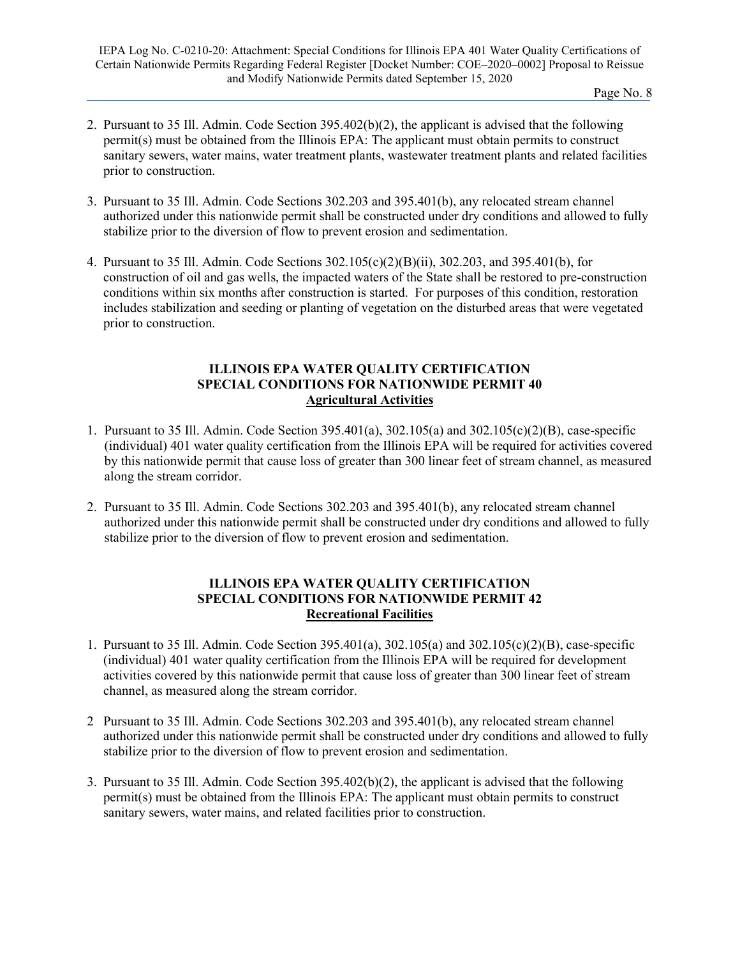- 2. Pursuant to 35 Ill. Admin. Code Section 395.402(b)(2), the applicant is advised that the following permit(s) must be obtained from the Illinois EPA: The applicant must obtain permits to construct sanitary sewers, water mains, water treatment plants, wastewater treatment plants and related facilities prior to construction.
- 3. Pursuant to 35 Ill. Admin. Code Sections 302.203 and 395.401(b), any relocated stream channel authorized under this nationwide permit shall be constructed under dry conditions and allowed to fully stabilize prior to the diversion of flow to prevent erosion and sedimentation.
- 4. Pursuant to 35 Ill. Admin. Code Sections 302.105(c)(2)(B)(ii), 302.203, and 395.401(b), for construction of oil and gas wells, the impacted waters of the State shall be restored to pre-construction conditions within six months after construction is started. For purposes of this condition, restoration includes stabilization and seeding or planting of vegetation on the disturbed areas that were vegetated prior to construction.

# **ILLINOIS EPA WATER QUALITY CERTIFICATION SPECIAL CONDITIONS FOR NATIONWIDE PERMIT 40 Agricultural Activities**

- 1. Pursuant to 35 Ill. Admin. Code Section 395.401(a), 302.105(a) and 302.105(c)(2)(B), case-specific (individual) 401 water quality certification from the Illinois EPA will be required for activities covered by this nationwide permit that cause loss of greater than 300 linear feet of stream channel, as measured along the stream corridor.
- 2. Pursuant to 35 Ill. Admin. Code Sections 302.203 and 395.401(b), any relocated stream channel authorized under this nationwide permit shall be constructed under dry conditions and allowed to fully stabilize prior to the diversion of flow to prevent erosion and sedimentation.

# **ILLINOIS EPA WATER QUALITY CERTIFICATION SPECIAL CONDITIONS FOR NATIONWIDE PERMIT 42 Recreational Facilities**

- 1. Pursuant to 35 Ill. Admin. Code Section 395.401(a), 302.105(a) and 302.105(c)(2)(B), case-specific (individual) 401 water quality certification from the Illinois EPA will be required for development activities covered by this nationwide permit that cause loss of greater than 300 linear feet of stream channel, as measured along the stream corridor.
- 2 Pursuant to 35 Ill. Admin. Code Sections 302.203 and 395.401(b), any relocated stream channel authorized under this nationwide permit shall be constructed under dry conditions and allowed to fully stabilize prior to the diversion of flow to prevent erosion and sedimentation.
- 3. Pursuant to 35 Ill. Admin. Code Section 395.402(b)(2), the applicant is advised that the following permit(s) must be obtained from the Illinois EPA: The applicant must obtain permits to construct sanitary sewers, water mains, and related facilities prior to construction.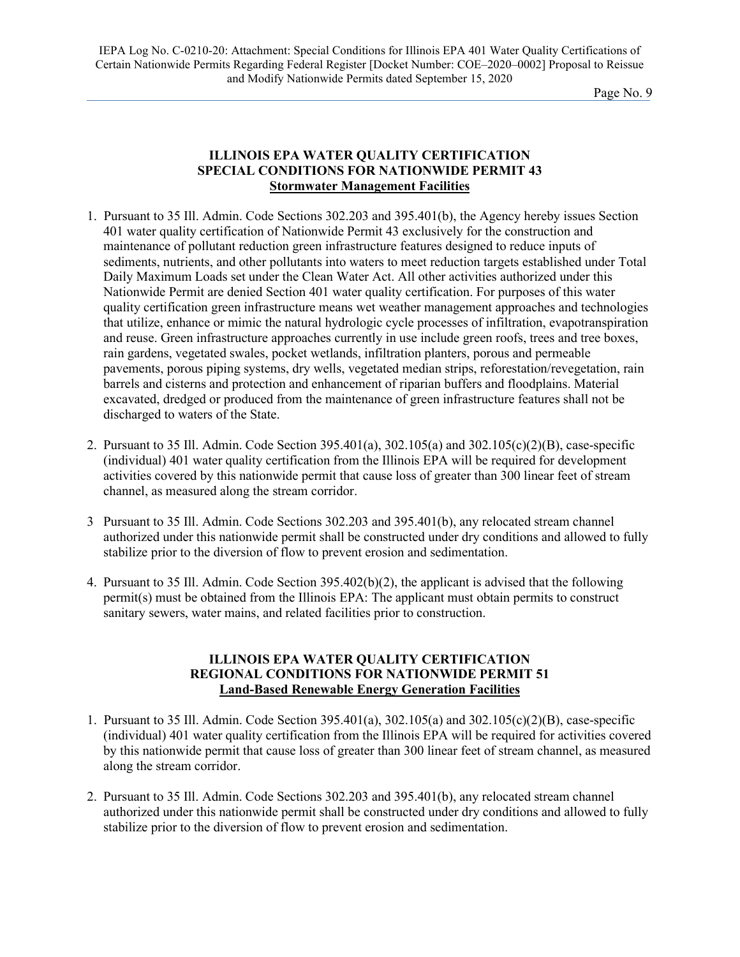IEPA Log No. C-0210-20: Attachment: Special Conditions for Illinois EPA 401 Water Quality Certifications of Certain Nationwide Permits Regarding Federal Register [Docket Number: COE–2020–0002] Proposal to Reissue and Modify Nationwide Permits dated September 15, 2020

Page No. 9

# **ILLINOIS EPA WATER QUALITY CERTIFICATION SPECIAL CONDITIONS FOR NATIONWIDE PERMIT 43 Stormwater Management Facilities**

- 1. Pursuant to 35 Ill. Admin. Code Sections 302.203 and 395.401(b), the Agency hereby issues Section 401 water quality certification of Nationwide Permit 43 exclusively for the construction and maintenance of pollutant reduction green infrastructure features designed to reduce inputs of sediments, nutrients, and other pollutants into waters to meet reduction targets established under Total Daily Maximum Loads set under the Clean Water Act. All other activities authorized under this Nationwide Permit are denied Section 401 water quality certification. For purposes of this water quality certification green infrastructure means wet weather management approaches and technologies that utilize, enhance or mimic the natural hydrologic cycle processes of infiltration, evapotranspiration and reuse. Green infrastructure approaches currently in use include green roofs, trees and tree boxes, rain gardens, vegetated swales, pocket wetlands, infiltration planters, porous and permeable pavements, porous piping systems, dry wells, vegetated median strips, reforestation/revegetation, rain barrels and cisterns and protection and enhancement of riparian buffers and floodplains. Material excavated, dredged or produced from the maintenance of green infrastructure features shall not be discharged to waters of the State.
- 2. Pursuant to 35 Ill. Admin. Code Section 395.401(a), 302.105(a) and 302.105(c)(2)(B), case-specific (individual) 401 water quality certification from the Illinois EPA will be required for development activities covered by this nationwide permit that cause loss of greater than 300 linear feet of stream channel, as measured along the stream corridor.
- 3 Pursuant to 35 Ill. Admin. Code Sections 302.203 and 395.401(b), any relocated stream channel authorized under this nationwide permit shall be constructed under dry conditions and allowed to fully stabilize prior to the diversion of flow to prevent erosion and sedimentation.
- 4. Pursuant to 35 Ill. Admin. Code Section 395.402(b)(2), the applicant is advised that the following permit(s) must be obtained from the Illinois EPA: The applicant must obtain permits to construct sanitary sewers, water mains, and related facilities prior to construction.

#### **ILLINOIS EPA WATER QUALITY CERTIFICATION REGIONAL CONDITIONS FOR NATIONWIDE PERMIT 51 Land-Based Renewable Energy Generation Facilities**

- 1. Pursuant to 35 Ill. Admin. Code Section 395.401(a), 302.105(a) and 302.105(c)(2)(B), case-specific (individual) 401 water quality certification from the Illinois EPA will be required for activities covered by this nationwide permit that cause loss of greater than 300 linear feet of stream channel, as measured along the stream corridor.
- 2. Pursuant to 35 Ill. Admin. Code Sections 302.203 and 395.401(b), any relocated stream channel authorized under this nationwide permit shall be constructed under dry conditions and allowed to fully stabilize prior to the diversion of flow to prevent erosion and sedimentation.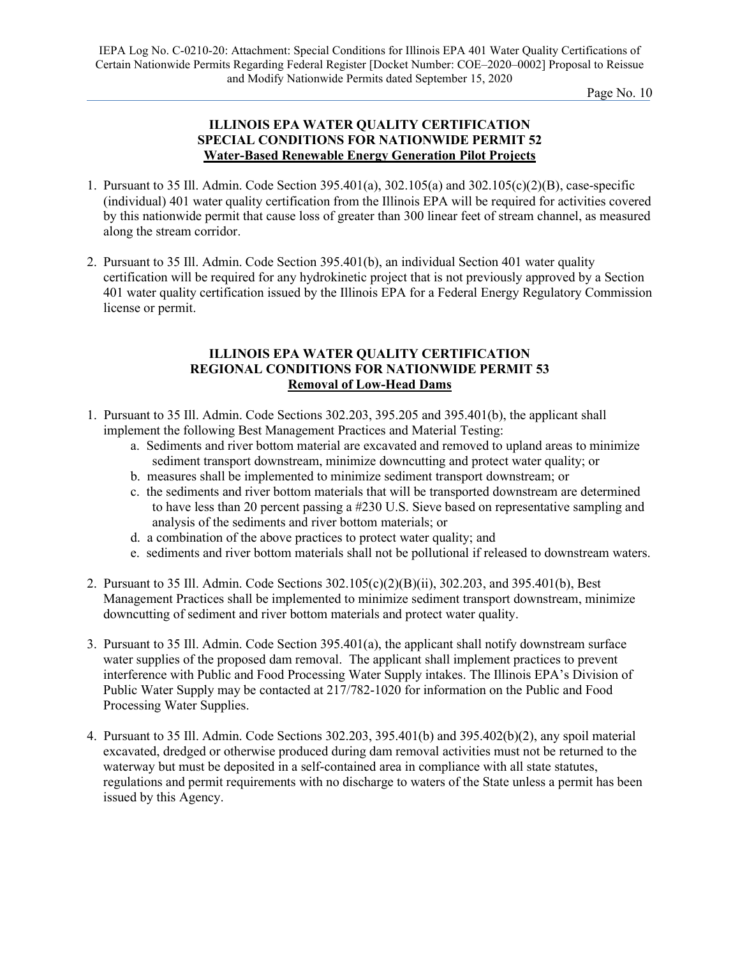# **ILLINOIS EPA WATER QUALITY CERTIFICATION SPECIAL CONDITIONS FOR NATIONWIDE PERMIT 52 Water-Based Renewable Energy Generation Pilot Projects**

- 1. Pursuant to 35 Ill. Admin. Code Section 395.401(a), 302.105(a) and 302.105(c)(2)(B), case-specific (individual) 401 water quality certification from the Illinois EPA will be required for activities covered by this nationwide permit that cause loss of greater than 300 linear feet of stream channel, as measured along the stream corridor.
- 2. Pursuant to 35 Ill. Admin. Code Section 395.401(b), an individual Section 401 water quality certification will be required for any hydrokinetic project that is not previously approved by a Section 401 water quality certification issued by the Illinois EPA for a Federal Energy Regulatory Commission license or permit.

# **ILLINOIS EPA WATER QUALITY CERTIFICATION REGIONAL CONDITIONS FOR NATIONWIDE PERMIT 53 Removal of Low-Head Dams**

- 1. Pursuant to 35 Ill. Admin. Code Sections 302.203, 395.205 and 395.401(b), the applicant shall implement the following Best Management Practices and Material Testing:
	- a. Sediments and river bottom material are excavated and removed to upland areas to minimize sediment transport downstream, minimize downcutting and protect water quality; or
	- b. measures shall be implemented to minimize sediment transport downstream; or
	- c. the sediments and river bottom materials that will be transported downstream are determined to have less than 20 percent passing a #230 U.S. Sieve based on representative sampling and analysis of the sediments and river bottom materials; or
	- d. a combination of the above practices to protect water quality; and
	- e. sediments and river bottom materials shall not be pollutional if released to downstream waters.
- 2. Pursuant to 35 Ill. Admin. Code Sections 302.105(c)(2)(B)(ii), 302.203, and 395.401(b), Best Management Practices shall be implemented to minimize sediment transport downstream, minimize downcutting of sediment and river bottom materials and protect water quality.
- 3. Pursuant to 35 Ill. Admin. Code Section 395.401(a), the applicant shall notify downstream surface water supplies of the proposed dam removal. The applicant shall implement practices to prevent interference with Public and Food Processing Water Supply intakes. The Illinois EPA's Division of Public Water Supply may be contacted at 217/782-1020 for information on the Public and Food Processing Water Supplies.
- 4. Pursuant to 35 Ill. Admin. Code Sections 302.203, 395.401(b) and 395.402(b)(2), any spoil material excavated, dredged or otherwise produced during dam removal activities must not be returned to the waterway but must be deposited in a self-contained area in compliance with all state statutes, regulations and permit requirements with no discharge to waters of the State unless a permit has been issued by this Agency.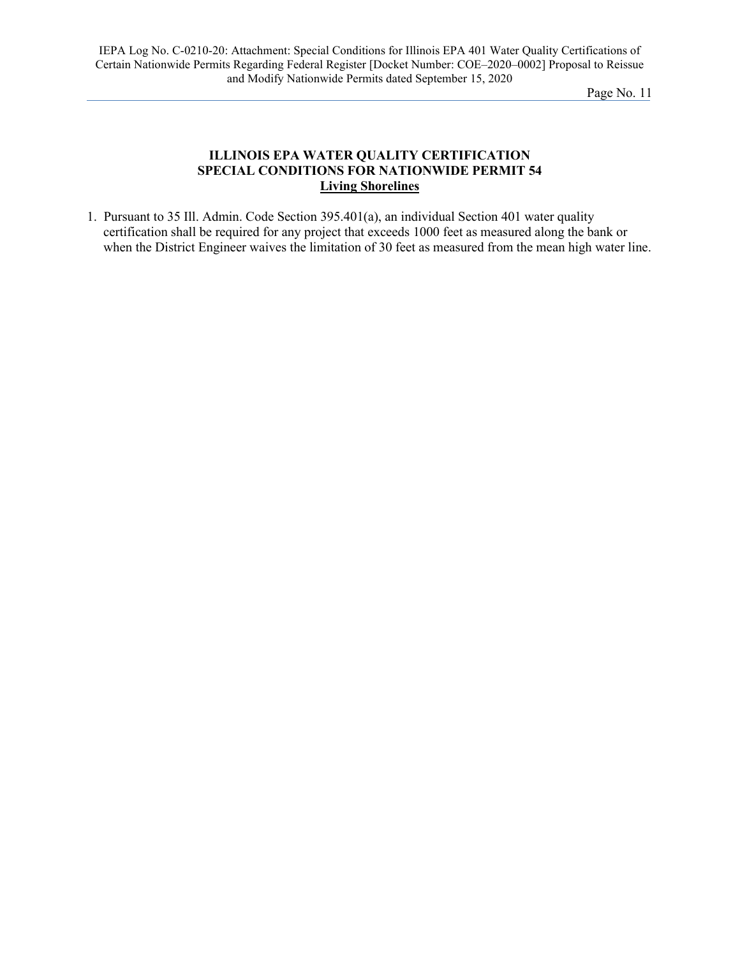# **ILLINOIS EPA WATER QUALITY CERTIFICATION SPECIAL CONDITIONS FOR NATIONWIDE PERMIT 54 Living Shorelines**

1. Pursuant to 35 Ill. Admin. Code Section 395.401(a), an individual Section 401 water quality certification shall be required for any project that exceeds 1000 feet as measured along the bank or when the District Engineer waives the limitation of 30 feet as measured from the mean high water line.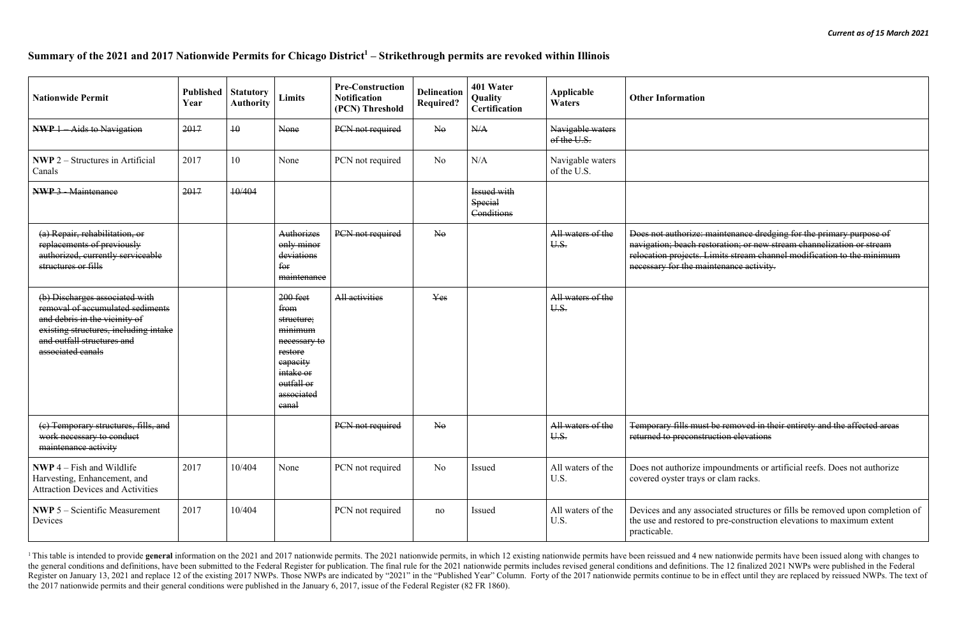<sup>1</sup>This table is intended to provide general information on the 2021 and 2017 nationwide permits. The 2021 nationwide permits, in which 12 existing nationwide permits have been reissued and 4 new nationwide permits have be the general conditions and definitions, have been submitted to the Federal Register for publication. The final rule for the 2021 nationwide permits includes revised general conditions and definitions. The 12 finalized 2021 Register on January 13, 2021 and replace 12 of the existing 2017 NWPs. Those NWPs are indicated by "2021" in the "Published Year" Column. Forty of the 2017 nationwide permits continue to be in effect until they are replace the 2017 nationwide permits and their general conditions were published in the January 6, 2017, issue of the Federal Register (82 FR 1860).

# **Summary of the 2021 and 2017 Nationwide Permits for Chicago District1 – Strikethrough permits are revoked within Illinois**

| <b>Other Information</b>                                                                                                                                                                                                                                          |
|-------------------------------------------------------------------------------------------------------------------------------------------------------------------------------------------------------------------------------------------------------------------|
|                                                                                                                                                                                                                                                                   |
|                                                                                                                                                                                                                                                                   |
|                                                                                                                                                                                                                                                                   |
| Does not authorize: maintenance dredging for the primary purpose of<br>navigation; beach restoration; or new stream channelization or stream<br>relocation projects. Limits stream channel modification to the minimum<br>necessary for the maintenance activity. |
|                                                                                                                                                                                                                                                                   |
|                                                                                                                                                                                                                                                                   |
|                                                                                                                                                                                                                                                                   |
|                                                                                                                                                                                                                                                                   |

Ist be removed in their entirety and the affected areas truction elevations

impoundments or artificial reefs. Does not authorize s or clam racks.

sociated structures or fills be removed upon completion of to pre-construction elevations to maximum extent

| <b>Nationwide Permit</b>                                                                                                                                                                        | <b>Published</b><br>Year | <b>Statutory</b><br><b>Authority</b> | <b>Limits</b>                                                                                                                        | <b>Pre-Construction</b><br><b>Notification</b><br>(PCN) Threshold | <b>Delineation</b><br><b>Required?</b> | 401 Water<br>Quality<br><b>Certification</b> | Applicable<br><b>Waters</b>     | <b>Other Information</b>                                                                                                                                               |
|-------------------------------------------------------------------------------------------------------------------------------------------------------------------------------------------------|--------------------------|--------------------------------------|--------------------------------------------------------------------------------------------------------------------------------------|-------------------------------------------------------------------|----------------------------------------|----------------------------------------------|---------------------------------|------------------------------------------------------------------------------------------------------------------------------------------------------------------------|
| <b>NWP</b> 1 Aids to Navigation                                                                                                                                                                 | 2017                     | 10                                   | None                                                                                                                                 | PCN not required                                                  | $N_{\theta}$                           | N/A                                          | Navigable waters<br>of the U.S. |                                                                                                                                                                        |
| <b>NWP</b> $2$ – Structures in Artificial<br>Canals                                                                                                                                             | 2017                     | 10                                   | None                                                                                                                                 | PCN not required                                                  | N <sub>o</sub>                         | N/A                                          | Navigable waters<br>of the U.S. |                                                                                                                                                                        |
| <b>NWP 3 - Maintenance</b>                                                                                                                                                                      | 2017                     | 10/404                               |                                                                                                                                      |                                                                   |                                        | <b>Issued with</b><br>Special<br>Conditions  |                                 |                                                                                                                                                                        |
| (a) Repair, rehabilitation, or<br>replacements of previously<br>authorized, currently serviceable<br>structures or fills                                                                        |                          |                                      | Authorizes<br>only minor<br>deviations<br>for<br>maintenance                                                                         | PCN not required                                                  | $N_{\theta}$                           |                                              | All waters of the<br>U.S.       | Does not authorize: maintenance dredg<br>navigation; beach restoration; or new s<br>relocation projects. Limits stream chan<br>necessary for the maintenance activity. |
| (b) Discharges associated with<br>removal of accumulated sediments<br>and debris in the vicinity of<br>existing structures, including intake<br>and outfall structures and<br>associated canals |                          |                                      | $200$ feet<br>from<br>structure;<br>minimum<br>necessary to<br>restore<br>eapacity<br>intake or<br>outfall or<br>associated<br>eanal | All activities                                                    | Yes                                    |                                              | All waters of the<br>U.S.       |                                                                                                                                                                        |
| (e) Temporary structures, fills, and<br>work necessary to conduct<br>maintenance activity                                                                                                       |                          |                                      |                                                                                                                                      | PCN not required                                                  | $N_{\theta}$                           |                                              | All waters of the<br>U.S.       | Temporary fills must be removed in the<br>returned to preconstruction elevations                                                                                       |
| <b>NWP</b> $4 - Fish$ and Wildlife<br>Harvesting, Enhancement, and<br><b>Attraction Devices and Activities</b>                                                                                  | 2017                     | 10/404                               | None                                                                                                                                 | PCN not required                                                  | N <sub>o</sub>                         | Issued                                       | All waters of the<br>U.S.       | Does not authorize impoundments or a<br>covered oyster trays or clam racks.                                                                                            |
| <b>NWP</b> $5 -$ Scientific Measurement<br>Devices                                                                                                                                              | 2017                     | 10/404                               |                                                                                                                                      | PCN not required                                                  | no                                     | Issued                                       | All waters of the<br>U.S.       | Devices and any associated structures<br>the use and restored to pre-construction<br>practicable.                                                                      |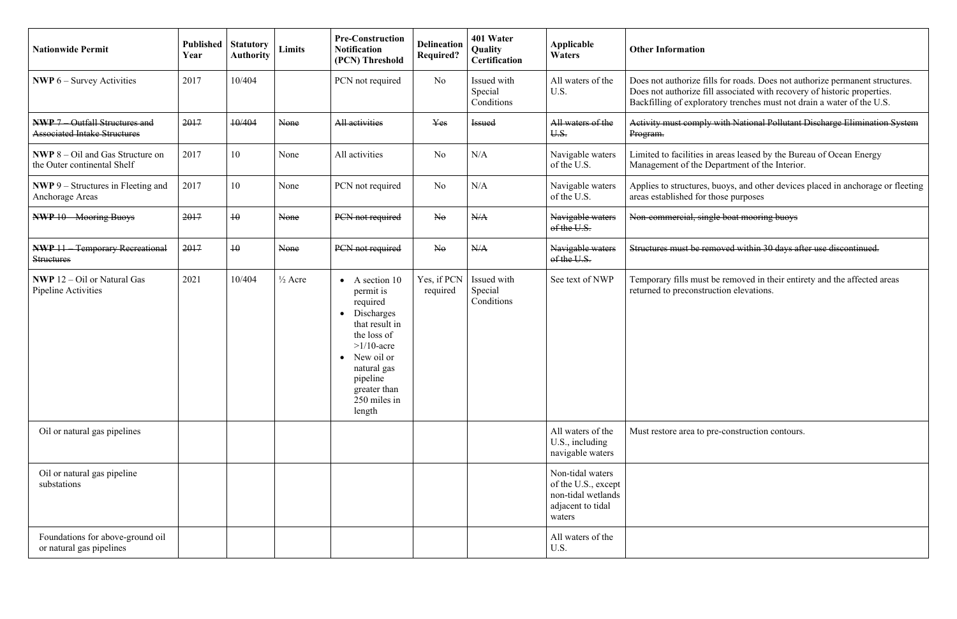fills for roads. Does not authorize permanent structures. Does not authorize fill associated with recovery of historic properties. Backfilling of exploratory trenches must not drain a water of the U.S.

ply with National Pollutant Discharge Elimination System

Limited to facilities in areas leased by the Bureau of Ocean Energy Management of the Department of the Interior.

> es, buoys, and other devices placed in anchorage or fleeting or those purposes

single boat mooring buoys

removed within 30 days after use discontinued.

ust be removed in their entirety and the affected areas struction elevations.

to pre-construction contours.

| <b>Nationwide Permit</b>                                                   | Published<br>Year | <b>Statutory</b><br><b>Authority</b> | <b>Limits</b>      | <b>Pre-Construction</b><br><b>Notification</b><br>(PCN) Threshold                                                                                                                                     | <b>Delineation</b><br><b>Required?</b> | 401 Water<br>Quality<br>Certification | Applicable<br><b>Waters</b>                                                                  | <b>Other Information</b>                                             |
|----------------------------------------------------------------------------|-------------------|--------------------------------------|--------------------|-------------------------------------------------------------------------------------------------------------------------------------------------------------------------------------------------------|----------------------------------------|---------------------------------------|----------------------------------------------------------------------------------------------|----------------------------------------------------------------------|
| <b>NWP</b> $6 -$ Survey Activities                                         | 2017              | 10/404                               |                    | PCN not required                                                                                                                                                                                      | N <sub>o</sub>                         | Issued with<br>Special<br>Conditions  | All waters of the<br>U.S.                                                                    | Does not authorize t<br>Does not authorize t<br>Backfilling of explo |
| <b>NWP 7</b> Outfall Structures and<br><b>Associated Intake Structures</b> | 2017              | 10/404                               | None               | All activities                                                                                                                                                                                        | Yes                                    | <b>Issued</b>                         | All waters of the<br>U.S.                                                                    | Activity must comp<br>Program.                                       |
| <b>NWP</b> $8 - Oil$ and Gas Structure on<br>the Outer continental Shelf   | 2017              | 10                                   | None               | All activities                                                                                                                                                                                        | N <sub>o</sub>                         | N/A                                   | Navigable waters<br>of the U.S.                                                              | Limited to facilities<br>Management of the                           |
| <b>NWP</b> 9 – Structures in Fleeting and<br>Anchorage Areas               | 2017              | 10                                   | None               | PCN not required                                                                                                                                                                                      | N <sub>o</sub>                         | N/A                                   | Navigable waters<br>of the U.S.                                                              | Applies to structure<br>areas established for                        |
| <b>NWP 10 Mooring Buoys</b>                                                | 2017              | $\overline{10}$                      | None               | PCN not required                                                                                                                                                                                      | N <sub>0</sub>                         | N/A                                   | Navigable waters<br>of the U.S.                                                              | Non-commercial, si                                                   |
| <b>NWP 11</b> Temporary Recreational<br><b>Structures</b>                  | 2017              | $\overline{10}$                      | None               | PCN not required                                                                                                                                                                                      | $\overline{\text{Ne}}$                 | N/A                                   | Navigable waters<br>of the U.S.                                                              | Structures must be r                                                 |
| <b>NWP</b> 12 – Oil or Natural Gas<br>Pipeline Activities                  | 2021              | 10/404                               | $\frac{1}{2}$ Acre | A section 10<br>permit is<br>required<br>Discharges<br>$\bullet$<br>that result in<br>the loss of<br>$>1/10$ -acre<br>New oil or<br>natural gas<br>pipeline<br>greater than<br>250 miles in<br>length | Yes, if PCN<br>required                | Issued with<br>Special<br>Conditions  | See text of NWP                                                                              | Temporary fills mus<br>returned to preconst                          |
| Oil or natural gas pipelines                                               |                   |                                      |                    |                                                                                                                                                                                                       |                                        |                                       | All waters of the<br>U.S., including<br>navigable waters                                     | Must restore area to                                                 |
| Oil or natural gas pipeline<br>substations                                 |                   |                                      |                    |                                                                                                                                                                                                       |                                        |                                       | Non-tidal waters<br>of the U.S., except<br>non-tidal wetlands<br>adjacent to tidal<br>waters |                                                                      |
| Foundations for above-ground oil<br>or natural gas pipelines               |                   |                                      |                    |                                                                                                                                                                                                       |                                        |                                       | All waters of the<br>U.S.                                                                    |                                                                      |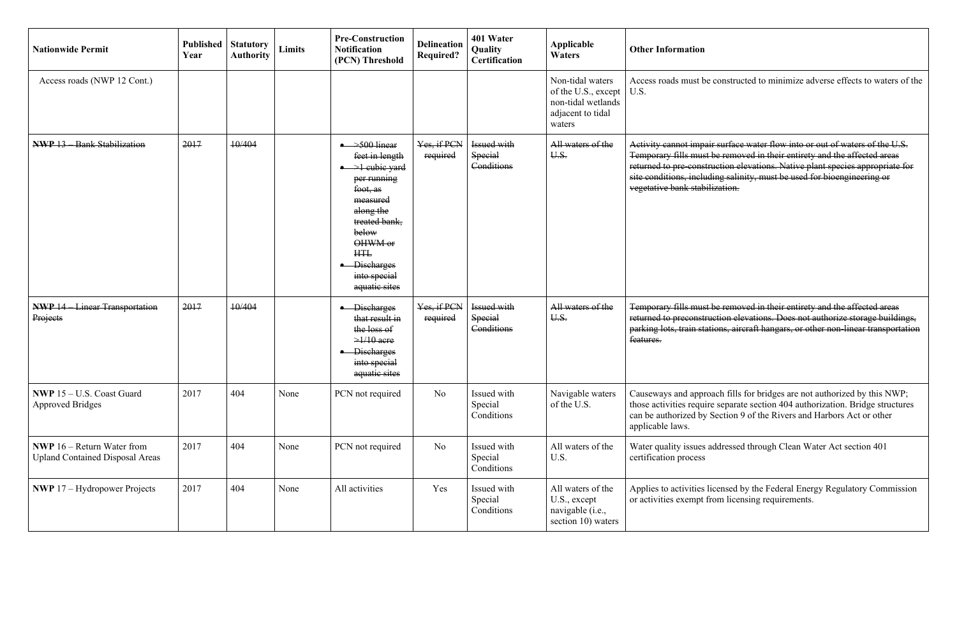Temporary fills must be removed in their entirety and the affected areas returned to preconstruction elevations. Does not authorize storage buildings, stations, aircraft hangars, or other non-linear transportation

proach fills for bridges are not authorized by this NWP; those activities require separate section 404 authorization. Bridge structures can be authorized by Section 9 of the Rivers and Harbors Act or other

es addressed through Clean Water Act section 401

es licensed by the Federal Energy Regulatory Commission t from licensing requirements.

| <b>Nationwide Permit</b>                                                      | <b>Published</b><br>Year | <b>Statutory</b><br><b>Authority</b> | <b>Limits</b> | <b>Pre-Construction</b><br><b>Notification</b><br>(PCN) Threshold                                                                                                                                                                     | <b>Delineation</b><br><b>Required?</b> | 401 Water<br>Quality<br><b>Certification</b> | Applicable<br><b>Waters</b>                                                                  | <b>Other Information</b>                                                                                             |
|-------------------------------------------------------------------------------|--------------------------|--------------------------------------|---------------|---------------------------------------------------------------------------------------------------------------------------------------------------------------------------------------------------------------------------------------|----------------------------------------|----------------------------------------------|----------------------------------------------------------------------------------------------|----------------------------------------------------------------------------------------------------------------------|
| Access roads (NWP 12 Cont.)                                                   |                          |                                      |               |                                                                                                                                                                                                                                       |                                        |                                              | Non-tidal waters<br>of the U.S., except<br>non-tidal wetlands<br>adjacent to tidal<br>waters | Access roads must b<br>U.S.                                                                                          |
| NWP 13 Bank Stabilization                                                     | 2017                     | 10/404                               |               | $\rightarrow$ 500 linear<br>feet in length<br>$\rightarrow$ 1 cubic yard<br>per running<br>foot, as<br>measured<br>along the<br>treated bank,<br>below<br>OHWM or<br><b>HTL</b><br><b>Discharges</b><br>into special<br>aquatic sites | Yes, if PCN<br>required                | Issued with<br><b>Special</b><br>Conditions  | All waters of the<br>U.S.                                                                    | Activity cannot imp<br>Temporary fills mus<br>returned to pre-cons<br>site conditions, inclu<br>vegetative bank stab |
| <b>NWP 14 - Linear Transportation</b><br>Projects                             | 2017                     | 10/404                               |               | • Discharges<br>that result in<br>the loss of<br>$\geq$ 1/10 acre<br><b>Discharges</b><br>into special<br>aquatic sites                                                                                                               | Yes, if PCN<br>required                | Issued with<br><b>Special</b><br>Conditions  | All waters of the<br>U.S.                                                                    | Temporary fills mus<br>returned to preconst<br>parking lots, train st<br>features.                                   |
| NWP 15 - U.S. Coast Guard<br><b>Approved Bridges</b>                          | 2017                     | 404                                  | None          | PCN not required                                                                                                                                                                                                                      | No                                     | Issued with<br>Special<br>Conditions         | Navigable waters<br>of the U.S.                                                              | Causeways and appr<br>those activities requ<br>can be authorized by<br>applicable laws.                              |
| <b>NWP</b> $16$ – Return Water from<br><b>Upland Contained Disposal Areas</b> | 2017                     | 404                                  | None          | PCN not required                                                                                                                                                                                                                      | <b>No</b>                              | Issued with<br>Special<br>Conditions         | All waters of the<br>U.S.                                                                    | Water quality issues<br>certification process                                                                        |
| <b>NWP</b> $17 - Hydropower$ Projects                                         | 2017                     | 404                                  | None          | All activities                                                                                                                                                                                                                        | Yes                                    | Issued with<br>Special<br>Conditions         | All waters of the<br>U.S., except<br>navigable (i.e.,<br>section 10) waters                  | Applies to activities<br>or activities exempt                                                                        |

be constructed to minimize adverse effects to waters of the

pair surface water flow into or out of waters of the U.S. It the removed in their entirety and the affected areas returned to pre-construction elevations. Native plant species appropriate for site conditions, including salinity, must be used for bioengineering or abilization.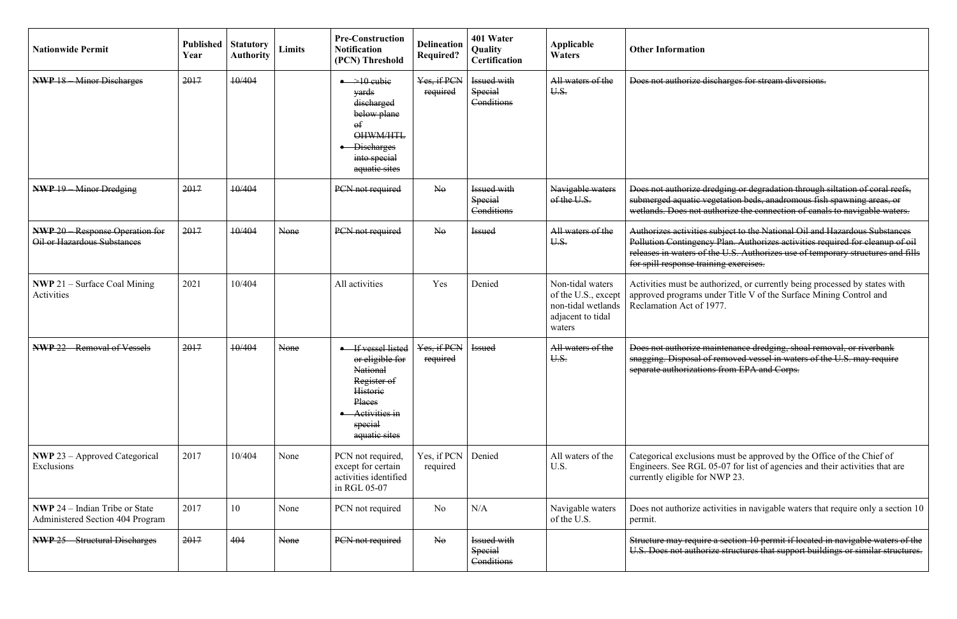| <b>Nationwide Permit</b>                                                  | <b>Published</b><br>Year | <b>Statutory</b><br><b>Authority</b> | <b>Limits</b> | <b>Pre-Construction</b><br><b>Notification</b><br>(PCN) Threshold                                                                            | <b>Delineation</b><br><b>Required?</b> | 401 Water<br>Quality<br><b>Certification</b>       | Applicable<br><b>Waters</b>                                                                  | <b>Other Information</b>                                                                               |
|---------------------------------------------------------------------------|--------------------------|--------------------------------------|---------------|----------------------------------------------------------------------------------------------------------------------------------------------|----------------------------------------|----------------------------------------------------|----------------------------------------------------------------------------------------------|--------------------------------------------------------------------------------------------------------|
| <b>NWP 18 - Minor Discharges</b>                                          | 2017                     | 10/404                               |               | $\rightarrow$ 10 cubie<br>yards<br>discharged<br>below plane<br>$\Theta$ f<br>OHWM/HTL<br><b>Discharges</b><br>into special<br>aquatic sites | Yes, if PCN<br>required                | Issued with<br>Special<br>Conditions               | All waters of the<br>U.S.                                                                    | Does not authorize                                                                                     |
| <b>NWP 19 Minor Dredging</b>                                              | 2017                     | 10/404                               |               | PCN not required                                                                                                                             | $N_{\theta}$                           | <b>Issued with</b><br><b>Special</b><br>Conditions | Navigable waters<br>of the U.S.                                                              | Does not authorize<br>submerged aquatic<br>wetlands. Does not                                          |
| <b>NWP 20</b> Response Operation for<br>Oil or Hazardous Substances       | 2017                     | 10/404                               | None          | PCN not required                                                                                                                             | $N_{\theta}$                           | <b>Issued</b>                                      | All waters of the<br>U.S.                                                                    | Authorizes activities<br><b>Pollution Contingen</b><br>releases in waters of<br>for spill response tra |
| <b>NWP</b> 21 – Surface Coal Mining<br>Activities                         | 2021                     | 10/404                               |               | All activities                                                                                                                               | Yes                                    | Denied                                             | Non-tidal waters<br>of the U.S., except<br>non-tidal wetlands<br>adjacent to tidal<br>waters | Activities must be a<br>approved programs<br>Reclamation Act of                                        |
| <b>NWP 22</b> Removal of Vessels                                          | 2017                     | 10/404                               | None          | If vessel listed<br>or eligible for<br>National<br>Register of<br><b>Historie</b><br>Places<br>Activities in<br>special<br>aquatic sites     | Yes, if PCN<br>required                | <b>Issued</b>                                      | All waters of the<br>U.S.                                                                    | Does not authorize<br>snagging. Disposal<br>separate authorizatio                                      |
| <b>NWP</b> 23 - Approved Categorical<br>Exclusions                        | 2017                     | 10/404                               | None          | PCN not required,<br>except for certain<br>activities identified<br>in RGL 05-07                                                             | Yes, if PCN<br>required                | Denied                                             | All waters of the<br>U.S.                                                                    | Categorical exclusio<br>Engineers. See RGI<br>currently eligible for                                   |
| <b>NWP</b> 24 – Indian Tribe or State<br>Administered Section 404 Program | 2017                     | 10                                   | None          | PCN not required                                                                                                                             | No                                     | N/A                                                | Navigable waters<br>of the U.S.                                                              | Does not authorize a<br>permit.                                                                        |
| <b>Structural Discharges</b><br><b>NWP 25</b>                             | 2017                     | 404                                  | None          | PCN not required                                                                                                                             | $\overline{\text{No}}$                 | <b>Issued with</b><br><b>Special</b><br>Conditions |                                                                                              | Structure may requi<br>U.S. Does not authe                                                             |

discharges for stream diversions.

dredging or degradation through siltation of coral reefs, vegetation beds, anadromous fish spawning areas, or authorize the connection of canals to navigable waters.

s subject to the National Oil and Hazardous Substances ncy Plan. Authorizes activities required for cleanup of oil f the U.S. Authorizes use of temporary structures and fills aining exercises.

authorized, or currently being processed by states with under Title V of the Surface Mining Control and  $1977.$ 

maintenance dredging, shoal removal, or riverbank of removed vessel in waters of the U.S. may require ons from EPA and Corps.

ons must be approved by the Office of the Chief of L 05-07 for list of agencies and their activities that are or NWP 23.

activities in navigable waters that require only a section 10

ire a section 10 permit if located in navigable waters of the prize structures that support buildings or similar structures.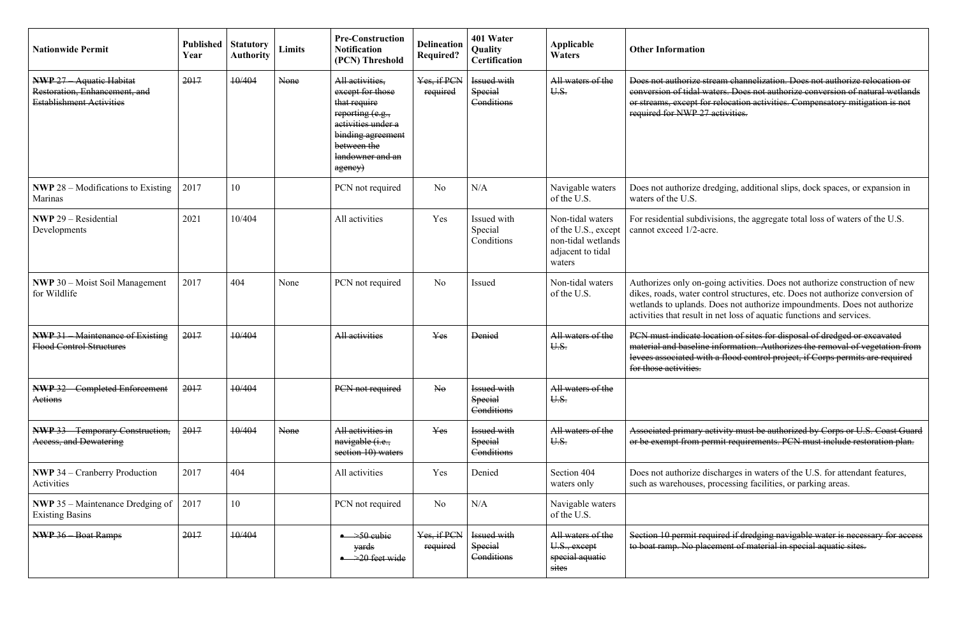PCN must indicate location of sites for disposal of dredged or excavated material and baseline information. Authorizes the removal of vegetation from ith a flood control project, if Corps permits are required

> activity must be authorized by Corps or U.S. Coast Guard permit requirements. PCN must include restoration plan.

discharges in waters of the U.S. for attendant features, , processing facilities, or parking areas.

equired if dredging navigable water is necessary for access acement of material in special aquatic sites.

| <b>Nationwide Permit</b>                                                                            | Published<br>Year | <b>Statutory</b><br><b>Authority</b> | <b>Limits</b> | <b>Pre-Construction</b><br><b>Notification</b><br>(PCN) Threshold                                                                                                | <b>Delineation</b><br><b>Required?</b> | 401 Water<br>Quality<br>Certification              | Applicable<br><b>Waters</b>                                                                  | <b>Other Information</b>                                                                      |
|-----------------------------------------------------------------------------------------------------|-------------------|--------------------------------------|---------------|------------------------------------------------------------------------------------------------------------------------------------------------------------------|----------------------------------------|----------------------------------------------------|----------------------------------------------------------------------------------------------|-----------------------------------------------------------------------------------------------|
| <b>NWP 27 - Aquatic Habitat</b><br>Restoration, Enhancement, and<br><b>Establishment Activities</b> | 2017              | 10/404                               | None          | All activities,<br>except for those<br>that require<br>reporting (e.g.,<br>activities under a<br>binding agreement<br>between the<br>landowner and an<br>agency) | Yes, if PCN<br>required                | Issued with<br>Special<br>Conditions               | All waters of the<br>U.S.                                                                    | Does not authorize s<br>conversion of tidal<br>or streams, except f<br>required for NWP 2     |
| <b>NWP</b> $28$ – Modifications to Existing<br><b>Marinas</b>                                       | 2017              | 10                                   |               | PCN not required                                                                                                                                                 | N <sub>o</sub>                         | N/A                                                | Navigable waters<br>of the U.S.                                                              | Does not authorize<br>waters of the U.S.                                                      |
| <b>NWP</b> 29 – Residential<br>Developments                                                         | 2021              | 10/404                               |               | All activities                                                                                                                                                   | Yes                                    | Issued with<br>Special<br>Conditions               | Non-tidal waters<br>of the U.S., except<br>non-tidal wetlands<br>adjacent to tidal<br>waters | For residential subd<br>cannot exceed 1/2-a                                                   |
| <b>NWP</b> 30 – Moist Soil Management<br>for Wildlife                                               | 2017              | 404                                  | None          | PCN not required                                                                                                                                                 | N <sub>o</sub>                         | Issued                                             | Non-tidal waters<br>of the U.S.                                                              | Authorizes only on-<br>dikes, roads, water o<br>wetlands to uplands<br>activities that result |
| <b>NWP 31</b> Maintenance of Existing<br>Flood Control Structures                                   | 2017              | 10/404                               |               | All activities                                                                                                                                                   | Yes                                    | <b>Denied</b>                                      | All waters of the<br>U.S.                                                                    | PCN must indicate 1<br>material and baselin<br>levees associated wi<br>for those activities.  |
| <b>NWP 32 - Completed Enforcement</b><br>Actions                                                    | 2017              | 10/404                               |               | PCN not required                                                                                                                                                 | $N_{\theta}$                           | <b>Issued with</b><br><b>Special</b><br>Conditions | All waters of the<br>U.S.                                                                    |                                                                                               |
| <b>NWP 33</b> Temporary Construction,<br>Access, and Dewatering                                     | 2017              | 10/404                               | None          | All activities in<br>navigable ( <i>i.e.</i> ,<br>section 10) waters                                                                                             | Yes                                    | <b>Issued with</b><br>Special<br>Conditions        | All waters of the<br>U.S.                                                                    | Associated primary<br>or be exempt from p                                                     |
| <b>NWP 34 – Cranberry Production</b><br>Activities                                                  | 2017              | 404                                  |               | All activities                                                                                                                                                   | Yes                                    | Denied                                             | Section 404<br>waters only                                                                   | Does not authorize<br>such as warehouses.                                                     |
| <b>NWP</b> 35 – Maintenance Dredging of<br><b>Existing Basins</b>                                   | 2017              | 10                                   |               | PCN not required                                                                                                                                                 | N <sub>o</sub>                         | N/A                                                | Navigable waters<br>of the U.S.                                                              |                                                                                               |
| <b>NWP 36 Boat Ramps</b>                                                                            | 2017              | 10/404                               |               | $\rightarrow 50$ cubie<br>yards<br>$\rightarrow 20$ feet wide                                                                                                    | Yes, if PCN<br>required                | <b>Issued with</b><br><b>Special</b><br>Conditions | All waters of the<br>U.S., except<br>special aquatie<br>sites                                | Section 10 permit re<br>to boat ramp. No pla                                                  |

stream channelization. Does not authorize relocation or waters. Does not authorize conversion of natural wetlands or relocation activities. Compensatory mitigation is not 7 activities.

dredging, additional slips, dock spaces, or expansion in

divisions, the aggregate total loss of waters of the U.S. icre.

-going activities. Does not authorize construction of new control structures, etc. Does not authorize conversion of s. Does not authorize impoundments. Does not authorize in net loss of aquatic functions and services.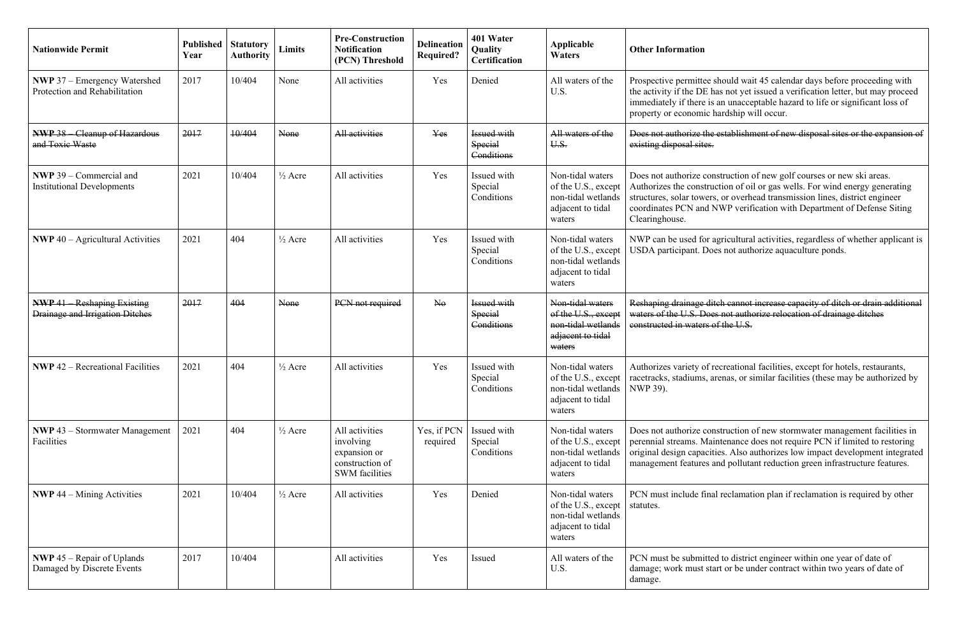| <b>Nationwide Permit</b>                                                   | <b>Published</b><br>Year | <b>Statutory</b><br><b>Authority</b> | <b>Limits</b>      | <b>Pre-Construction</b><br><b>Notification</b><br>(PCN) Threshold                       | <b>Delineation</b><br><b>Required?</b> | 401 Water<br>Quality<br><b>Certification</b>       | <b>Applicable</b><br><b>Waters</b>                                                             | <b>Other Information</b>                                                                                   |
|----------------------------------------------------------------------------|--------------------------|--------------------------------------|--------------------|-----------------------------------------------------------------------------------------|----------------------------------------|----------------------------------------------------|------------------------------------------------------------------------------------------------|------------------------------------------------------------------------------------------------------------|
| <b>NWP</b> 37 – Emergency Watershed<br>Protection and Rehabilitation       | 2017                     | 10/404                               | None               | All activities                                                                          | Yes                                    | Denied                                             | All waters of the<br>U.S.                                                                      | Prospective permitto<br>the activity if the Dl<br>immediately if there<br>property or econom               |
| <b>NWP 38 Cleanup of Hazardous</b><br>and Toxic Waste                      | 2017                     | 10/404                               | None               | All activities                                                                          | Yes                                    | <b>Issued with</b><br><b>Special</b><br>Conditions | All waters of the<br>U.S.                                                                      | Does not authorize t<br>existing disposal sit                                                              |
| <b>NWP</b> 39 – Commercial and<br><b>Institutional Developments</b>        | 2021                     | 10/404                               | $\frac{1}{2}$ Acre | All activities                                                                          | Yes                                    | Issued with<br>Special<br>Conditions               | Non-tidal waters<br>of the U.S., except<br>non-tidal wetlands<br>adjacent to tidal<br>waters   | Does not authorize<br>Authorizes the cons<br>structures, solar tow<br>coordinates PCN an<br>Clearinghouse. |
| <b>NWP</b> 40 – Agricultural Activities                                    | 2021                     | 404                                  | $\frac{1}{2}$ Acre | All activities                                                                          | Yes                                    | Issued with<br>Special<br>Conditions               | Non-tidal waters<br>of the U.S., except<br>non-tidal wetlands<br>adjacent to tidal<br>waters   | NWP can be used fo<br>USDA participant. I                                                                  |
| <b>NWP 41</b> Reshaping Existing<br><b>Drainage and Irrigation Ditches</b> | 2017                     | 404                                  | None               | PCN not required                                                                        | N <sub>0</sub>                         | Issued with<br><b>Special</b><br>Conditions        | Non-tidal waters<br>of the U.S., except<br>non-tidal wetlands<br>adjacent to tidal<br>waters   | Reshaping drainage<br>waters of the U.S. E<br>constructed in water                                         |
| <b>NWP</b> $42$ – Recreational Facilities                                  | 2021                     | 404                                  | $\frac{1}{2}$ Acre | All activities                                                                          | Yes                                    | Issued with<br>Special<br>Conditions               | Non-tidal waters<br>of the U.S., except  <br>non-tidal wetlands<br>adjacent to tidal<br>waters | Authorizes variety o<br>racetracks, stadiums<br>NWP 39).                                                   |
| <b>NWP</b> 43 – Stormwater Management<br>Facilities                        | 2021                     | 404                                  | $\frac{1}{2}$ Acre | All activities<br>involving<br>expansion or<br>construction of<br><b>SWM</b> facilities | Yes, if PCN<br>required                | Issued with<br>Special<br>Conditions               | Non-tidal waters<br>of the U.S., except<br>non-tidal wetlands<br>adjacent to tidal<br>waters   | Does not authorize<br>perennial streams. N<br>original design capa<br>management feature                   |
| <b>NWP</b> 44 – Mining Activities                                          | 2021                     | 10/404                               | $\frac{1}{2}$ Acre | All activities                                                                          | Yes                                    | Denied                                             | Non-tidal waters<br>of the U.S., except<br>non-tidal wetlands<br>adjacent to tidal<br>waters   | PCN must include f<br>statutes.                                                                            |
| <b>NWP</b> 45 – Repair of Uplands<br>Damaged by Discrete Events            | 2017                     | 10/404                               |                    | All activities                                                                          | Yes                                    | Issued                                             | All waters of the<br>U.S.                                                                      | PCN must be submi<br>damage; work must<br>damage.                                                          |

tee should wait 45 calendar days before proceeding with E has not yet issued a verification letter, but may proceed e is an unacceptable hazard to life or significant loss of nic hardship will occur.

the establishment of new disposal sites or the expansion of es.

construction of new golf courses or new ski areas. struction of oil or gas wells. For wind energy generating vers, or overhead transmission lines, district engineer nd NWP verification with Department of Defense Siting

for agricultural activities, regardless of whether applicant is Does not authorize aquaculture ponds.

ditch cannot increase capacity of ditch or drain additional los not authorize relocation of drainage ditches rs of the U.S.

of recreational facilities, except for hotels, restaurants, s, arenas, or similar facilities (these may be authorized by

construction of new stormwater management facilities in Maintenance does not require PCN if limited to restoring acities. Also authorizes low impact development integrated es and pollutant reduction green infrastructure features.

final reclamation plan if reclamation is required by other

itted to district engineer within one year of date of start or be under contract within two years of date of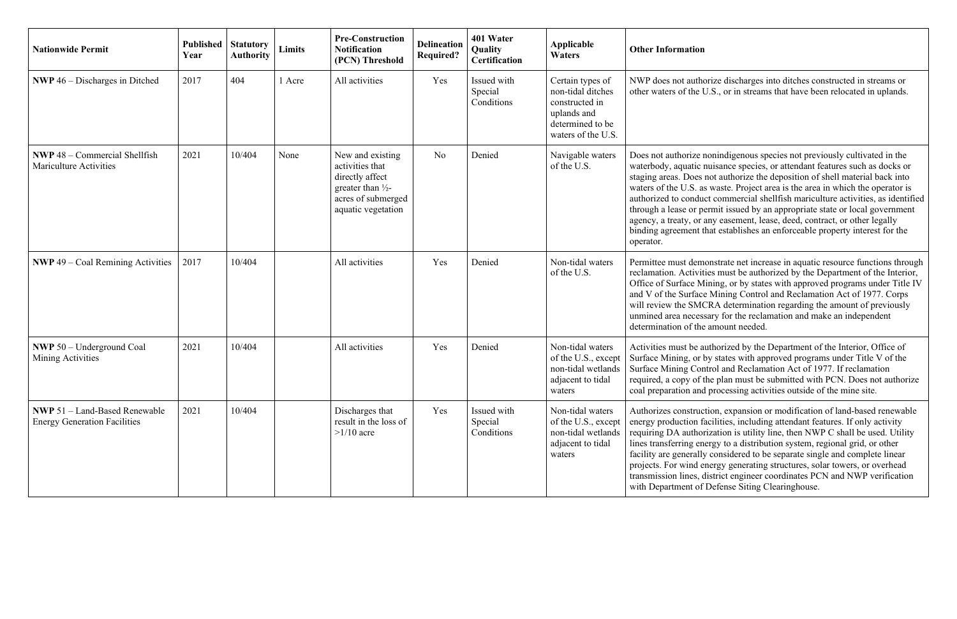| <b>Nationwide Permit</b>                                                    | <b>Published</b><br>Year | <b>Statutory</b><br><b>Authority</b> | Limits | <b>Pre-Construction</b><br><b>Notification</b><br>(PCN) Threshold                                                                  | <b>Delineation</b><br><b>Required?</b> | 401 Water<br>Quality<br>Certification | Applicable<br><b>Waters</b>                                                                                      | <b>Other Information</b>                                                                                                                                                                              |
|-----------------------------------------------------------------------------|--------------------------|--------------------------------------|--------|------------------------------------------------------------------------------------------------------------------------------------|----------------------------------------|---------------------------------------|------------------------------------------------------------------------------------------------------------------|-------------------------------------------------------------------------------------------------------------------------------------------------------------------------------------------------------|
| <b>NWP</b> $46$ – Discharges in Ditched                                     | 2017                     | 404                                  | 1 Acre | All activities                                                                                                                     | Yes                                    | Issued with<br>Special<br>Conditions  | Certain types of<br>non-tidal ditches<br>constructed in<br>uplands and<br>determined to be<br>waters of the U.S. | NWP does not autho<br>other waters of the U                                                                                                                                                           |
| <b>NWP</b> 48 – Commercial Shellfish<br><b>Mariculture Activities</b>       | 2021                     | 10/404                               | None   | New and existing<br>activities that<br>directly affect<br>greater than $\frac{1}{2}$ -<br>acres of submerged<br>aquatic vegetation | N <sub>o</sub>                         | Denied                                | Navigable waters<br>of the U.S.                                                                                  | Does not authorize a<br>waterbody, aquatic<br>staging areas. Does<br>waters of the U.S. as<br>authorized to condu<br>through a lease or p<br>agency, a treaty, or<br>binding agreement t<br>operator. |
| <b>NWP</b> 49 – Coal Remining Activities                                    | 2017                     | 10/404                               |        | All activities                                                                                                                     | Yes                                    | Denied                                | Non-tidal waters<br>of the U.S.                                                                                  | Permittee must dem<br>reclamation. Activit<br>Office of Surface M<br>and V of the Surface<br>will review the SM<br>unmined area neces<br>determination of the                                         |
| <b>NWP</b> 50 – Underground Coal<br>Mining Activities                       | 2021                     | 10/404                               |        | All activities                                                                                                                     | Yes                                    | Denied                                | Non-tidal waters<br>of the U.S., except<br>non-tidal wetlands<br>adjacent to tidal<br>waters                     | Activities must be a<br>Surface Mining, or l<br>Surface Mining Cor<br>required, a copy of t<br>coal preparation and                                                                                   |
| <b>NWP</b> 51 - Land-Based Renewable<br><b>Energy Generation Facilities</b> | 2021                     | 10/404                               |        | Discharges that<br>result in the loss of<br>$>1/10$ acre                                                                           | Yes                                    | Issued with<br>Special<br>Conditions  | Non-tidal waters<br>of the U.S., except<br>non-tidal wetlands<br>adjacent to tidal<br>waters                     | Authorizes construc<br>energy production f<br>requiring DA author<br>lines transferring en<br>facility are generally<br>projects. For wind e<br>transmission lines, o<br>with Department of           |

norize discharges into ditches constructed in streams or U.S., or in streams that have been relocated in uplands.

nonindigenous species not previously cultivated in the nuisance species, or attendant features such as docks or s not authorize the deposition of shell material back into as waste. Project area is the area in which the operator is act commercial shellfish mariculture activities, as identified thermit issued by an appropriate state or local government any easement, lease, deed, contract, or other legally that establishes an enforceable property interest for the

nonstrate net increase in aquatic resource functions through ities must be authorized by the Department of the Interior, Mining, or by states with approved programs under Title IV ce Mining Control and Reclamation Act of 1977. Corps ICRA determination regarding the amount of previously ssary for the reclamation and make an independent e amount needed.

authorized by the Department of the Interior, Office of by states with approved programs under Title V of the ntrol and Reclamation Act of 1977. If reclamation required, a copy of the plan must be submitted with PCN. Does not authorize d processing activities outside of the mine site.

ction, expansion or modification of land-based renewable facilities, including attendant features. If only activity  $\frac{1}{2}$  brization is utility line, then NWP C shall be used. Utility nergy to a distribution system, regional grid, or other ly considered to be separate single and complete linear energy generating structures, solar towers, or overhead district engineer coordinates PCN and NWP verification Defense Siting Clearinghouse.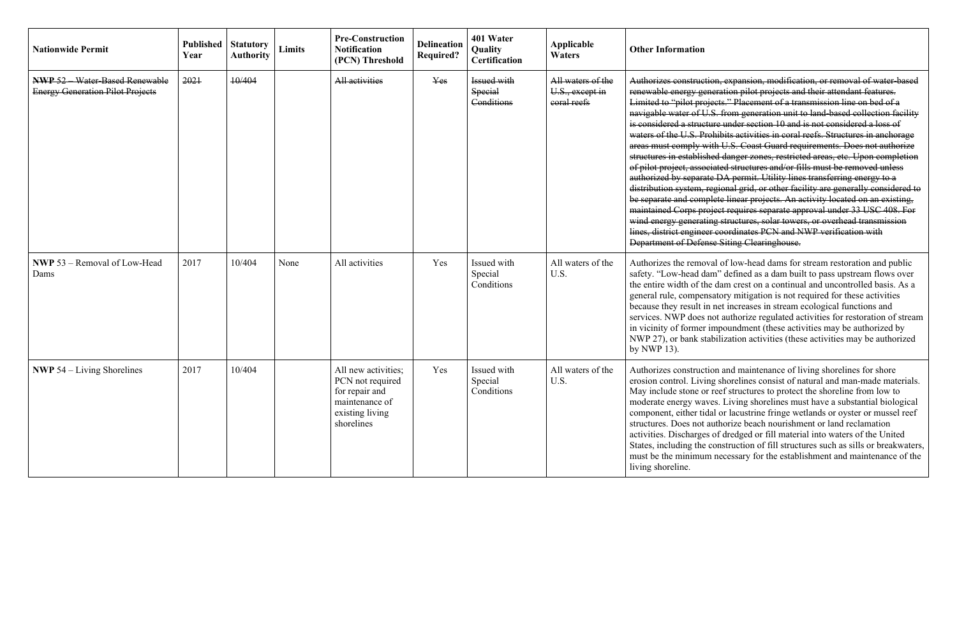| <b>Nationwide Permit</b>                                                       | <b>Published</b><br>Year | <b>Statutory</b><br><b>Authority</b> | Limits | <b>Pre-Construction</b><br><b>Notification</b><br>(PCN) Threshold                                            | <b>Delineation</b><br><b>Required?</b> | 401 Water<br>Quality<br>Certification              | Applicable<br><b>Waters</b>                         | <b>Other Information</b>                                                                                                                                                                                                                                                                                                                                                                   |
|--------------------------------------------------------------------------------|--------------------------|--------------------------------------|--------|--------------------------------------------------------------------------------------------------------------|----------------------------------------|----------------------------------------------------|-----------------------------------------------------|--------------------------------------------------------------------------------------------------------------------------------------------------------------------------------------------------------------------------------------------------------------------------------------------------------------------------------------------------------------------------------------------|
| <b>NWP 52</b> Water-Based Renewable<br><b>Energy Generation Pilot Projects</b> | 2021                     | 10/404                               |        | All activities                                                                                               | Yes                                    | <b>Issued with</b><br><b>Special</b><br>Conditions | All waters of the<br>U.S., except in<br>coral reefs | Authorizes construe<br>renewable energy ge<br>Limited to "pilot pre<br>navigable water of I<br>is considered a struc<br>waters of the U.S. P<br>areas must comply<br>structures in establis<br>of pilot project, asse<br>authorized by separa<br>distribution system,<br>be separate and com<br>maintained Corps pr<br>wind energy general<br>lines, district engine<br>Department of Defe |
| NWP 53 - Removal of Low-Head<br>Dams                                           | 2017                     | 10/404                               | None   | All activities                                                                                               | Yes                                    | Issued with<br>Special<br>Conditions               | All waters of the<br>U.S.                           | Authorizes the remo<br>safety. "Low-head c<br>the entire width of t<br>general rule, comper<br>because they result<br>services. NWP does<br>in vicinity of former<br>NWP 27), or bank s<br>by NWP 13).                                                                                                                                                                                     |
| <b>NWP</b> 54 $-$ Living Shorelines                                            | 2017                     | 10/404                               |        | All new activities;<br>PCN not required<br>for repair and<br>maintenance of<br>existing living<br>shorelines | Yes                                    | Issued with<br>Special<br>Conditions               | All waters of the<br>U.S.                           | Authorizes construc<br>erosion control. Liv<br>May include stone o<br>moderate energy wa<br>component, either ti<br>structures. Does not<br>activities. Discharge<br>States, including the<br>must be the minimu<br>living shoreline.                                                                                                                                                      |

etion, expansion, modification, or removal of water-based reneration pilot projects and their attendant features. rojects." Placement of a transmission line on bed of a U.S. from generation unit to land-based collection facility eture under section 10 and is not considered a loss of Prohibits activities in coral reefs. Structures in anchorage with U.S. Coast Guard requirements. Does not authorize ished danger zones, restricted areas, etc. Upon completion ociated structures and/or fills must be removed unless rate DA permit. Utility lines transferring energy to a tion system, regional grid, or other facility are generally considered to mplete linear projects. An activity located on an existing, moject requires separate approval under 33 USC 408. For ating structures, solar towers, or overhead transmission eer coordinates PCN and NWP verification with **Ense Siting Clearinghouse.** 

horal of low-head dams for stream restoration and public dam" defined as a dam built to pass upstream flows over the dam crest on a continual and uncontrolled basis. As a ensatory mitigation is not required for these activities in net increases in stream ecological functions and s not authorize regulated activities for restoration of stream er impoundment (these activities may be authorized by stabilization activities (these activities may be authorized

ction and maintenance of living shorelines for shore ving shorelines consist of natural and man-made materials. or reef structures to protect the shoreline from low to raves. Living shorelines must have a substantial biological idal or lacustrine fringe wetlands or oyster or mussel reef authorize beach nourishment or land reclamation es of dredged or fill material into waters of the United e construction of fill structures such as sills or breakwaters, im necessary for the establishment and maintenance of the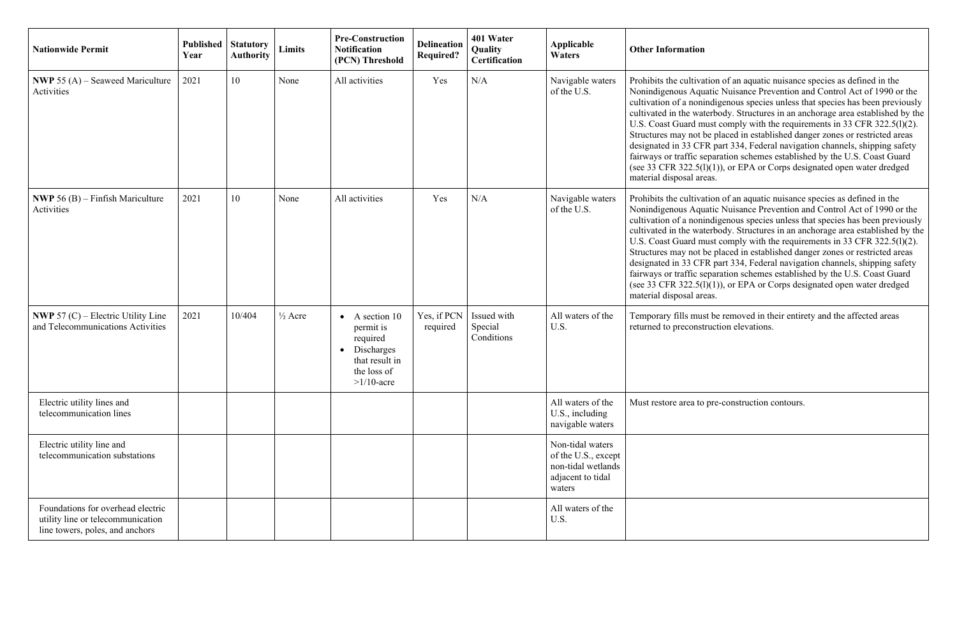| <b>Nationwide Permit</b>                                                                                  | Published<br>Year | <b>Statutory</b><br><b>Authority</b> | Limits             | <b>Pre-Construction</b><br><b>Notification</b><br>(PCN) Threshold                                                  | <b>Delineation</b><br><b>Required?</b> | 401 Water<br>Quality<br>Certification | Applicable<br><b>Waters</b>                                                                  | <b>Other Information</b>                                                                                                                                                                                                                     |
|-----------------------------------------------------------------------------------------------------------|-------------------|--------------------------------------|--------------------|--------------------------------------------------------------------------------------------------------------------|----------------------------------------|---------------------------------------|----------------------------------------------------------------------------------------------|----------------------------------------------------------------------------------------------------------------------------------------------------------------------------------------------------------------------------------------------|
| <b>NWP</b> 55 (A) – Seaweed Mariculture<br>Activities                                                     | 2021              | 10                                   | None               | All activities                                                                                                     | Yes                                    | N/A                                   | Navigable waters<br>of the U.S.                                                              | Prohibits the cultiva<br>Nonindigenous Aqu<br>cultivation of a noni<br>cultivated in the wat<br>U.S. Coast Guard m<br>Structures may not l<br>designated in 33 CF<br>fairways or traffic so<br>(see 33 CFR 322.5(1)<br>material disposal are |
| <b>NWP</b> 56 (B) – Finfish Mariculture<br>Activities                                                     | 2021              | 10                                   | None               | All activities                                                                                                     | Yes                                    | N/A                                   | Navigable waters<br>of the U.S.                                                              | Prohibits the cultiva<br>Nonindigenous Aqu<br>cultivation of a noni<br>cultivated in the wat<br>U.S. Coast Guard m<br>Structures may not l<br>designated in 33 CF<br>fairways or traffic so<br>(see 33 CFR 322.5(1)<br>material disposal are |
| <b>NWP</b> 57 (C) – Electric Utility Line<br>and Telecommunications Activities                            | 2021              | 10/404                               | $\frac{1}{2}$ Acre | A section 10<br>permit is<br>required<br>Discharges<br>$\bullet$<br>that result in<br>the loss of<br>$>1/10$ -acre | Yes, if PCN<br>required                | Issued with<br>Special<br>Conditions  | All waters of the<br>U.S.                                                                    | Temporary fills mus<br>returned to preconst                                                                                                                                                                                                  |
| Electric utility lines and<br>telecommunication lines                                                     |                   |                                      |                    |                                                                                                                    |                                        |                                       | All waters of the<br>U.S., including<br>navigable waters                                     | Must restore area to                                                                                                                                                                                                                         |
| Electric utility line and<br>telecommunication substations                                                |                   |                                      |                    |                                                                                                                    |                                        |                                       | Non-tidal waters<br>of the U.S., except<br>non-tidal wetlands<br>adjacent to tidal<br>waters |                                                                                                                                                                                                                                              |
| Foundations for overhead electric<br>utility line or telecommunication<br>line towers, poles, and anchors |                   |                                      |                    |                                                                                                                    |                                        |                                       | All waters of the<br>U.S.                                                                    |                                                                                                                                                                                                                                              |

ration of an aquatic nuisance species as defined in the uatic Nuisance Prevention and Control Act of 1990 or the indigenous species unless that species has been previously aterbody. Structures in an anchorage area established by the must comply with the requirements in 33 CFR 322.5(l)(2). be placed in established danger zones or restricted areas FR part 334, Federal navigation channels, shipping safety separation schemes established by the U.S. Coast Guard  $(l)(1))$ , or EPA or Corps designated open water dredged reas.

ration of an aquatic nuisance species as defined in the uatic Nuisance Prevention and Control Act of 1990 or the indigenous species unless that species has been previously aterbody. Structures in an anchorage area established by the must comply with the requirements in 33 CFR 322.5(l)(2). be placed in established danger zones or restricted areas FR part 334, Federal navigation channels, shipping safety separation schemes established by the U.S. Coast Guard  $\overrightarrow{(l)}(1)$ , or EPA or Corps designated open water dredged reas.

ast be removed in their entirety and the affected areas truction elevations.

o pre-construction contours.